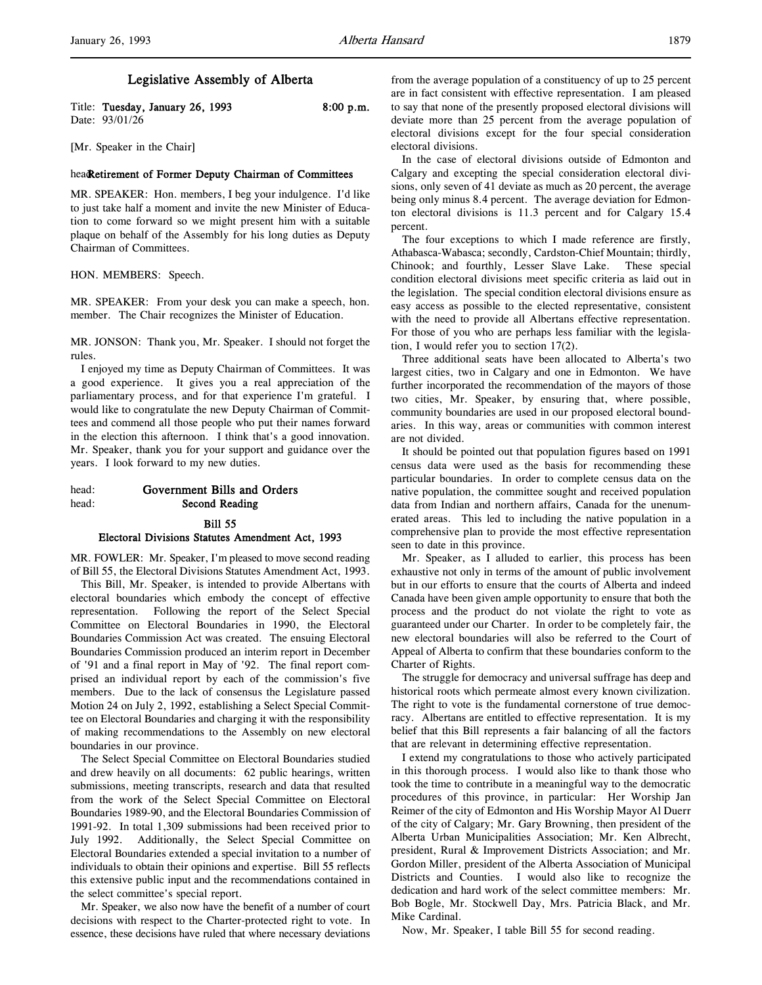| Title: Tuesday, January 26, 1993 | 8:00 p.m. |
|----------------------------------|-----------|
| Date: 93/01/26                   |           |

[Mr. Speaker in the Chair]

### headRetirement of Former Deputy Chairman of Committees

MR. SPEAKER: Hon. members, I beg your indulgence. I'd like to just take half a moment and invite the new Minister of Education to come forward so we might present him with a suitable plaque on behalf of the Assembly for his long duties as Deputy Chairman of Committees.

HON. MEMBERS: Speech.

MR. SPEAKER: From your desk you can make a speech, hon. member. The Chair recognizes the Minister of Education.

MR. JONSON: Thank you, Mr. Speaker. I should not forget the rules.

I enjoyed my time as Deputy Chairman of Committees. It was a good experience. It gives you a real appreciation of the parliamentary process, and for that experience I'm grateful. I would like to congratulate the new Deputy Chairman of Committees and commend all those people who put their names forward in the election this afternoon. I think that's a good innovation. Mr. Speaker, thank you for your support and guidance over the years. I look forward to my new duties.

# head: Government Bills and Orders head: Second Reading

#### Bill 55

#### Electoral Divisions Statutes Amendment Act, 1993

MR. FOWLER: Mr. Speaker, I'm pleased to move second reading of Bill 55, the Electoral Divisions Statutes Amendment Act, 1993.

This Bill, Mr. Speaker, is intended to provide Albertans with electoral boundaries which embody the concept of effective representation. Following the report of the Select Special Committee on Electoral Boundaries in 1990, the Electoral Boundaries Commission Act was created. The ensuing Electoral Boundaries Commission produced an interim report in December of '91 and a final report in May of '92. The final report comprised an individual report by each of the commission's five members. Due to the lack of consensus the Legislature passed Motion 24 on July 2, 1992, establishing a Select Special Committee on Electoral Boundaries and charging it with the responsibility of making recommendations to the Assembly on new electoral boundaries in our province.

The Select Special Committee on Electoral Boundaries studied and drew heavily on all documents: 62 public hearings, written submissions, meeting transcripts, research and data that resulted from the work of the Select Special Committee on Electoral Boundaries 1989-90, and the Electoral Boundaries Commission of 1991-92. In total 1,309 submissions had been received prior to July 1992. Additionally, the Select Special Committee on Electoral Boundaries extended a special invitation to a number of individuals to obtain their opinions and expertise. Bill 55 reflects this extensive public input and the recommendations contained in the select committee's special report.

Mr. Speaker, we also now have the benefit of a number of court decisions with respect to the Charter-protected right to vote. In essence, these decisions have ruled that where necessary deviations from the average population of a constituency of up to 25 percent are in fact consistent with effective representation. I am pleased to say that none of the presently proposed electoral divisions will deviate more than 25 percent from the average population of electoral divisions except for the four special consideration electoral divisions.

In the case of electoral divisions outside of Edmonton and Calgary and excepting the special consideration electoral divisions, only seven of 41 deviate as much as 20 percent, the average being only minus 8.4 percent. The average deviation for Edmonton electoral divisions is 11.3 percent and for Calgary 15.4 percent.

The four exceptions to which I made reference are firstly, Athabasca-Wabasca; secondly, Cardston-Chief Mountain; thirdly, Chinook; and fourthly, Lesser Slave Lake. These special condition electoral divisions meet specific criteria as laid out in the legislation. The special condition electoral divisions ensure as easy access as possible to the elected representative, consistent with the need to provide all Albertans effective representation. For those of you who are perhaps less familiar with the legislation, I would refer you to section 17(2).

Three additional seats have been allocated to Alberta's two largest cities, two in Calgary and one in Edmonton. We have further incorporated the recommendation of the mayors of those two cities, Mr. Speaker, by ensuring that, where possible, community boundaries are used in our proposed electoral boundaries. In this way, areas or communities with common interest are not divided.

It should be pointed out that population figures based on 1991 census data were used as the basis for recommending these particular boundaries. In order to complete census data on the native population, the committee sought and received population data from Indian and northern affairs, Canada for the unenumerated areas. This led to including the native population in a comprehensive plan to provide the most effective representation seen to date in this province.

Mr. Speaker, as I alluded to earlier, this process has been exhaustive not only in terms of the amount of public involvement but in our efforts to ensure that the courts of Alberta and indeed Canada have been given ample opportunity to ensure that both the process and the product do not violate the right to vote as guaranteed under our Charter. In order to be completely fair, the new electoral boundaries will also be referred to the Court of Appeal of Alberta to confirm that these boundaries conform to the Charter of Rights.

The struggle for democracy and universal suffrage has deep and historical roots which permeate almost every known civilization. The right to vote is the fundamental cornerstone of true democracy. Albertans are entitled to effective representation. It is my belief that this Bill represents a fair balancing of all the factors that are relevant in determining effective representation.

I extend my congratulations to those who actively participated in this thorough process. I would also like to thank those who took the time to contribute in a meaningful way to the democratic procedures of this province, in particular: Her Worship Jan Reimer of the city of Edmonton and His Worship Mayor Al Duerr of the city of Calgary; Mr. Gary Browning, then president of the Alberta Urban Municipalities Association; Mr. Ken Albrecht, president, Rural & Improvement Districts Association; and Mr. Gordon Miller, president of the Alberta Association of Municipal Districts and Counties. I would also like to recognize the dedication and hard work of the select committee members: Mr. Bob Bogle, Mr. Stockwell Day, Mrs. Patricia Black, and Mr. Mike Cardinal.

Now, Mr. Speaker, I table Bill 55 for second reading.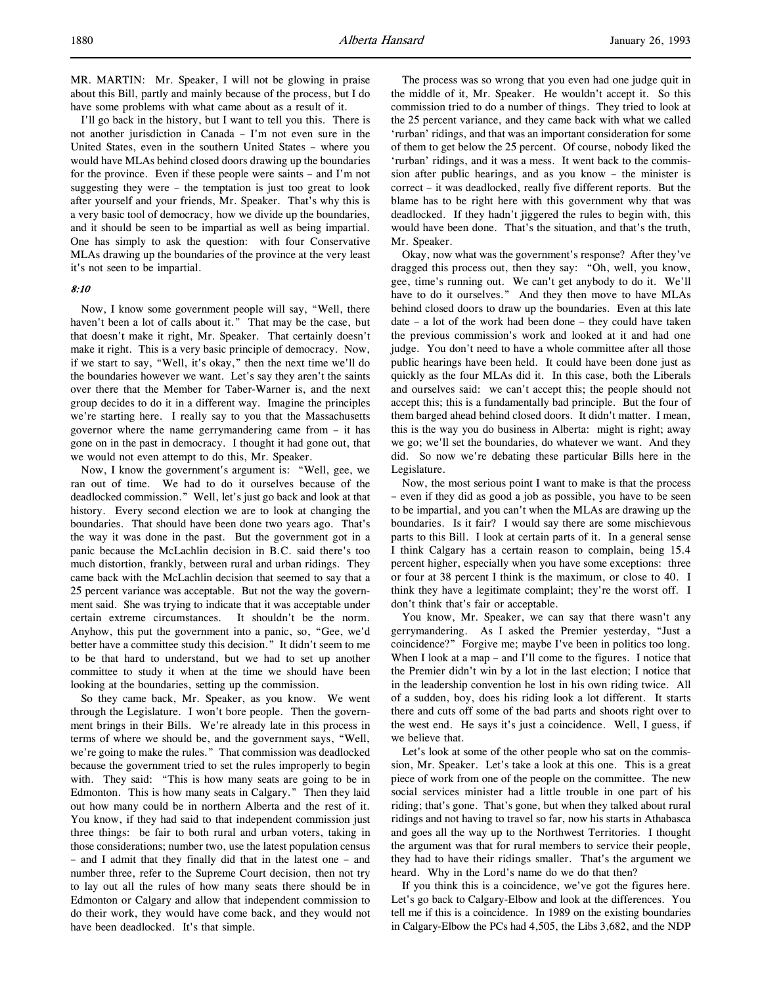MR. MARTIN: Mr. Speaker, I will not be glowing in praise about this Bill, partly and mainly because of the process, but I do have some problems with what came about as a result of it.

I'll go back in the history, but I want to tell you this. There is not another jurisdiction in Canada – I'm not even sure in the United States, even in the southern United States – where you would have MLAs behind closed doors drawing up the boundaries for the province. Even if these people were saints – and I'm not suggesting they were – the temptation is just too great to look after yourself and your friends, Mr. Speaker. That's why this is a very basic tool of democracy, how we divide up the boundaries, and it should be seen to be impartial as well as being impartial. One has simply to ask the question: with four Conservative MLAs drawing up the boundaries of the province at the very least it's not seen to be impartial.

### 8:10

Now, I know some government people will say, "Well, there haven't been a lot of calls about it." That may be the case, but that doesn't make it right, Mr. Speaker. That certainly doesn't make it right. This is a very basic principle of democracy. Now, if we start to say, "Well, it's okay," then the next time we'll do the boundaries however we want. Let's say they aren't the saints over there that the Member for Taber-Warner is, and the next group decides to do it in a different way. Imagine the principles we're starting here. I really say to you that the Massachusetts governor where the name gerrymandering came from – it has gone on in the past in democracy. I thought it had gone out, that we would not even attempt to do this, Mr. Speaker.

Now, I know the government's argument is: "Well, gee, we ran out of time. We had to do it ourselves because of the deadlocked commission." Well, let's just go back and look at that history. Every second election we are to look at changing the boundaries. That should have been done two years ago. That's the way it was done in the past. But the government got in a panic because the McLachlin decision in B.C. said there's too much distortion, frankly, between rural and urban ridings. They came back with the McLachlin decision that seemed to say that a 25 percent variance was acceptable. But not the way the government said. She was trying to indicate that it was acceptable under certain extreme circumstances. It shouldn't be the norm. Anyhow, this put the government into a panic, so, "Gee, we'd better have a committee study this decision." It didn't seem to me to be that hard to understand, but we had to set up another committee to study it when at the time we should have been looking at the boundaries, setting up the commission.

So they came back, Mr. Speaker, as you know. We went through the Legislature. I won't bore people. Then the government brings in their Bills. We're already late in this process in terms of where we should be, and the government says, "Well, we're going to make the rules." That commission was deadlocked because the government tried to set the rules improperly to begin with. They said: "This is how many seats are going to be in Edmonton. This is how many seats in Calgary." Then they laid out how many could be in northern Alberta and the rest of it. You know, if they had said to that independent commission just three things: be fair to both rural and urban voters, taking in those considerations; number two, use the latest population census – and I admit that they finally did that in the latest one – and number three, refer to the Supreme Court decision, then not try to lay out all the rules of how many seats there should be in Edmonton or Calgary and allow that independent commission to do their work, they would have come back, and they would not have been deadlocked. It's that simple.

The process was so wrong that you even had one judge quit in the middle of it, Mr. Speaker. He wouldn't accept it. So this commission tried to do a number of things. They tried to look at the 25 percent variance, and they came back with what we called 'rurban' ridings, and that was an important consideration for some of them to get below the 25 percent. Of course, nobody liked the 'rurban' ridings, and it was a mess. It went back to the commission after public hearings, and as you know – the minister is correct – it was deadlocked, really five different reports. But the blame has to be right here with this government why that was deadlocked. If they hadn't jiggered the rules to begin with, this would have been done. That's the situation, and that's the truth, Mr. Speaker.

Okay, now what was the government's response? After they've dragged this process out, then they say: "Oh, well, you know, gee, time's running out. We can't get anybody to do it. We'll have to do it ourselves." And they then move to have MLAs behind closed doors to draw up the boundaries. Even at this late date – a lot of the work had been done – they could have taken the previous commission's work and looked at it and had one judge. You don't need to have a whole committee after all those public hearings have been held. It could have been done just as quickly as the four MLAs did it. In this case, both the Liberals and ourselves said: we can't accept this; the people should not accept this; this is a fundamentally bad principle. But the four of them barged ahead behind closed doors. It didn't matter. I mean, this is the way you do business in Alberta: might is right; away we go; we'll set the boundaries, do whatever we want. And they did. So now we're debating these particular Bills here in the Legislature.

Now, the most serious point I want to make is that the process – even if they did as good a job as possible, you have to be seen to be impartial, and you can't when the MLAs are drawing up the boundaries. Is it fair? I would say there are some mischievous parts to this Bill. I look at certain parts of it. In a general sense I think Calgary has a certain reason to complain, being 15.4 percent higher, especially when you have some exceptions: three or four at 38 percent I think is the maximum, or close to 40. I think they have a legitimate complaint; they're the worst off. I don't think that's fair or acceptable.

You know, Mr. Speaker, we can say that there wasn't any gerrymandering. As I asked the Premier yesterday, "Just a coincidence?" Forgive me; maybe I've been in politics too long. When I look at a map – and I'll come to the figures. I notice that the Premier didn't win by a lot in the last election; I notice that in the leadership convention he lost in his own riding twice. All of a sudden, boy, does his riding look a lot different. It starts there and cuts off some of the bad parts and shoots right over to the west end. He says it's just a coincidence. Well, I guess, if we believe that.

Let's look at some of the other people who sat on the commission, Mr. Speaker. Let's take a look at this one. This is a great piece of work from one of the people on the committee. The new social services minister had a little trouble in one part of his riding; that's gone. That's gone, but when they talked about rural ridings and not having to travel so far, now his starts in Athabasca and goes all the way up to the Northwest Territories. I thought the argument was that for rural members to service their people, they had to have their ridings smaller. That's the argument we heard. Why in the Lord's name do we do that then?

If you think this is a coincidence, we've got the figures here. Let's go back to Calgary-Elbow and look at the differences. You tell me if this is a coincidence. In 1989 on the existing boundaries in Calgary-Elbow the PCs had 4,505, the Libs 3,682, and the NDP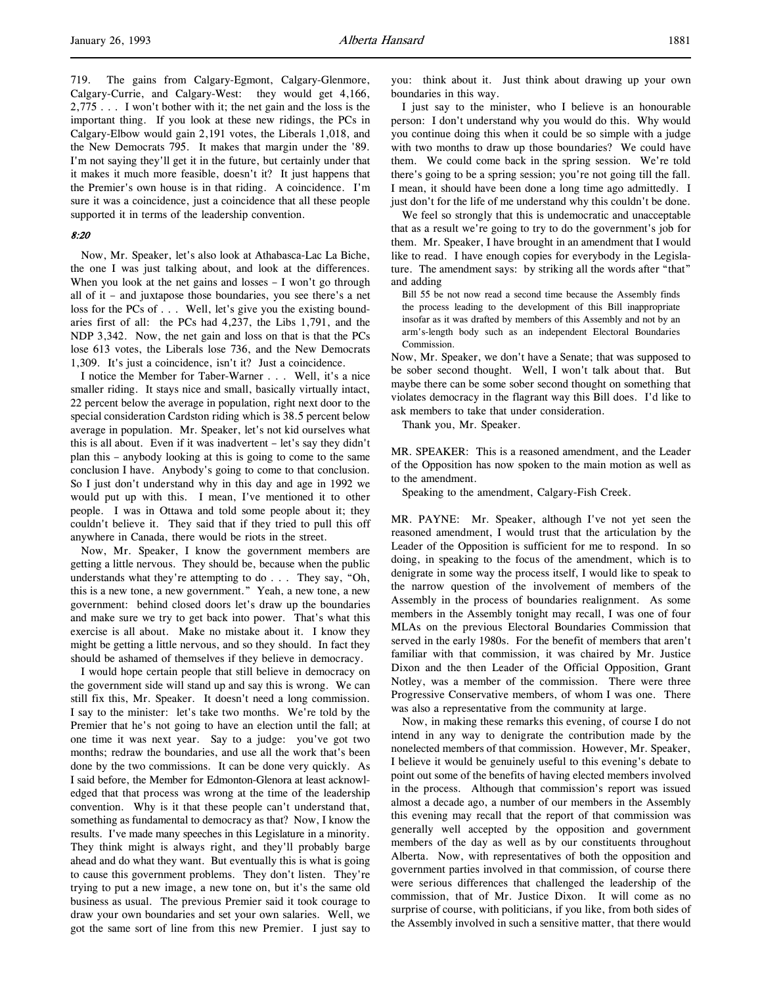719. The gains from Calgary-Egmont, Calgary-Glenmore, Calgary-Currie, and Calgary-West: they would get 4,166, 2,775 . . . I won't bother with it; the net gain and the loss is the important thing. If you look at these new ridings, the PCs in Calgary-Elbow would gain 2,191 votes, the Liberals 1,018, and the New Democrats 795. It makes that margin under the '89. I'm not saying they'll get it in the future, but certainly under that it makes it much more feasible, doesn't it? It just happens that the Premier's own house is in that riding. A coincidence. I'm sure it was a coincidence, just a coincidence that all these people supported it in terms of the leadership convention.

#### 8:20

Now, Mr. Speaker, let's also look at Athabasca-Lac La Biche, the one I was just talking about, and look at the differences. When you look at the net gains and losses – I won't go through all of it – and juxtapose those boundaries, you see there's a net loss for the PCs of . . . Well, let's give you the existing boundaries first of all: the PCs had 4,237, the Libs 1,791, and the NDP 3,342. Now, the net gain and loss on that is that the PCs lose 613 votes, the Liberals lose 736, and the New Democrats 1,309. It's just a coincidence, isn't it? Just a coincidence.

I notice the Member for Taber-Warner . . . Well, it's a nice smaller riding. It stays nice and small, basically virtually intact, 22 percent below the average in population, right next door to the special consideration Cardston riding which is 38.5 percent below average in population. Mr. Speaker, let's not kid ourselves what this is all about. Even if it was inadvertent – let's say they didn't plan this – anybody looking at this is going to come to the same conclusion I have. Anybody's going to come to that conclusion. So I just don't understand why in this day and age in 1992 we would put up with this. I mean, I've mentioned it to other people. I was in Ottawa and told some people about it; they couldn't believe it. They said that if they tried to pull this off anywhere in Canada, there would be riots in the street.

Now, Mr. Speaker, I know the government members are getting a little nervous. They should be, because when the public understands what they're attempting to do . . . They say, "Oh, this is a new tone, a new government." Yeah, a new tone, a new government: behind closed doors let's draw up the boundaries and make sure we try to get back into power. That's what this exercise is all about. Make no mistake about it. I know they might be getting a little nervous, and so they should. In fact they should be ashamed of themselves if they believe in democracy.

I would hope certain people that still believe in democracy on the government side will stand up and say this is wrong. We can still fix this, Mr. Speaker. It doesn't need a long commission. I say to the minister: let's take two months. We're told by the Premier that he's not going to have an election until the fall; at one time it was next year. Say to a judge: you've got two months; redraw the boundaries, and use all the work that's been done by the two commissions. It can be done very quickly. As I said before, the Member for Edmonton-Glenora at least acknowledged that that process was wrong at the time of the leadership convention. Why is it that these people can't understand that, something as fundamental to democracy as that? Now, I know the results. I've made many speeches in this Legislature in a minority. They think might is always right, and they'll probably barge ahead and do what they want. But eventually this is what is going to cause this government problems. They don't listen. They're trying to put a new image, a new tone on, but it's the same old business as usual. The previous Premier said it took courage to draw your own boundaries and set your own salaries. Well, we got the same sort of line from this new Premier. I just say to

you: think about it. Just think about drawing up your own boundaries in this way.

I just say to the minister, who I believe is an honourable person: I don't understand why you would do this. Why would you continue doing this when it could be so simple with a judge with two months to draw up those boundaries? We could have them. We could come back in the spring session. We're told there's going to be a spring session; you're not going till the fall. I mean, it should have been done a long time ago admittedly. I just don't for the life of me understand why this couldn't be done.

We feel so strongly that this is undemocratic and unacceptable that as a result we're going to try to do the government's job for them. Mr. Speaker, I have brought in an amendment that I would like to read. I have enough copies for everybody in the Legislature. The amendment says: by striking all the words after "that" and adding

Bill 55 be not now read a second time because the Assembly finds the process leading to the development of this Bill inappropriate insofar as it was drafted by members of this Assembly and not by an arm's-length body such as an independent Electoral Boundaries Commission.

Now, Mr. Speaker, we don't have a Senate; that was supposed to be sober second thought. Well, I won't talk about that. But maybe there can be some sober second thought on something that violates democracy in the flagrant way this Bill does. I'd like to ask members to take that under consideration.

Thank you, Mr. Speaker.

MR. SPEAKER: This is a reasoned amendment, and the Leader of the Opposition has now spoken to the main motion as well as to the amendment.

Speaking to the amendment, Calgary-Fish Creek.

MR. PAYNE: Mr. Speaker, although I've not yet seen the reasoned amendment, I would trust that the articulation by the Leader of the Opposition is sufficient for me to respond. In so doing, in speaking to the focus of the amendment, which is to denigrate in some way the process itself, I would like to speak to the narrow question of the involvement of members of the Assembly in the process of boundaries realignment. As some members in the Assembly tonight may recall, I was one of four MLAs on the previous Electoral Boundaries Commission that served in the early 1980s. For the benefit of members that aren't familiar with that commission, it was chaired by Mr. Justice Dixon and the then Leader of the Official Opposition, Grant Notley, was a member of the commission. There were three Progressive Conservative members, of whom I was one. There was also a representative from the community at large.

Now, in making these remarks this evening, of course I do not intend in any way to denigrate the contribution made by the nonelected members of that commission. However, Mr. Speaker, I believe it would be genuinely useful to this evening's debate to point out some of the benefits of having elected members involved in the process. Although that commission's report was issued almost a decade ago, a number of our members in the Assembly this evening may recall that the report of that commission was generally well accepted by the opposition and government members of the day as well as by our constituents throughout Alberta. Now, with representatives of both the opposition and government parties involved in that commission, of course there were serious differences that challenged the leadership of the commission, that of Mr. Justice Dixon. It will come as no surprise of course, with politicians, if you like, from both sides of the Assembly involved in such a sensitive matter, that there would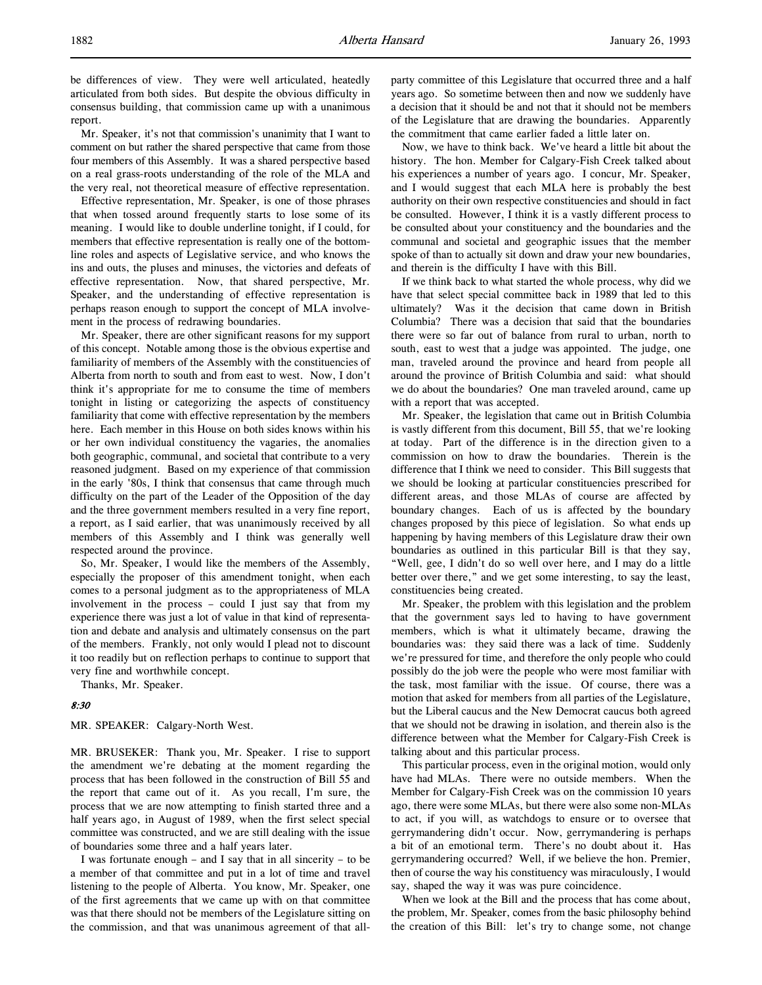be differences of view. They were well articulated, heatedly articulated from both sides. But despite the obvious difficulty in consensus building, that commission came up with a unanimous report.

Mr. Speaker, it's not that commission's unanimity that I want to comment on but rather the shared perspective that came from those four members of this Assembly. It was a shared perspective based on a real grass-roots understanding of the role of the MLA and the very real, not theoretical measure of effective representation.

Effective representation, Mr. Speaker, is one of those phrases that when tossed around frequently starts to lose some of its meaning. I would like to double underline tonight, if I could, for members that effective representation is really one of the bottomline roles and aspects of Legislative service, and who knows the ins and outs, the pluses and minuses, the victories and defeats of effective representation. Now, that shared perspective, Mr. Speaker, and the understanding of effective representation is perhaps reason enough to support the concept of MLA involvement in the process of redrawing boundaries.

Mr. Speaker, there are other significant reasons for my support of this concept. Notable among those is the obvious expertise and familiarity of members of the Assembly with the constituencies of Alberta from north to south and from east to west. Now, I don't think it's appropriate for me to consume the time of members tonight in listing or categorizing the aspects of constituency familiarity that come with effective representation by the members here. Each member in this House on both sides knows within his or her own individual constituency the vagaries, the anomalies both geographic, communal, and societal that contribute to a very reasoned judgment. Based on my experience of that commission in the early '80s, I think that consensus that came through much difficulty on the part of the Leader of the Opposition of the day and the three government members resulted in a very fine report, a report, as I said earlier, that was unanimously received by all members of this Assembly and I think was generally well respected around the province.

So, Mr. Speaker, I would like the members of the Assembly, especially the proposer of this amendment tonight, when each comes to a personal judgment as to the appropriateness of MLA involvement in the process – could I just say that from my experience there was just a lot of value in that kind of representation and debate and analysis and ultimately consensus on the part of the members. Frankly, not only would I plead not to discount it too readily but on reflection perhaps to continue to support that very fine and worthwhile concept.

Thanks, Mr. Speaker.

#### 8:30

## MR. SPEAKER: Calgary-North West.

MR. BRUSEKER: Thank you, Mr. Speaker. I rise to support the amendment we're debating at the moment regarding the process that has been followed in the construction of Bill 55 and the report that came out of it. As you recall, I'm sure, the process that we are now attempting to finish started three and a half years ago, in August of 1989, when the first select special committee was constructed, and we are still dealing with the issue of boundaries some three and a half years later.

I was fortunate enough – and I say that in all sincerity – to be a member of that committee and put in a lot of time and travel listening to the people of Alberta. You know, Mr. Speaker, one of the first agreements that we came up with on that committee was that there should not be members of the Legislature sitting on the commission, and that was unanimous agreement of that allparty committee of this Legislature that occurred three and a half years ago. So sometime between then and now we suddenly have a decision that it should be and not that it should not be members of the Legislature that are drawing the boundaries. Apparently the commitment that came earlier faded a little later on.

Now, we have to think back. We've heard a little bit about the history. The hon. Member for Calgary-Fish Creek talked about his experiences a number of years ago. I concur, Mr. Speaker, and I would suggest that each MLA here is probably the best authority on their own respective constituencies and should in fact be consulted. However, I think it is a vastly different process to be consulted about your constituency and the boundaries and the communal and societal and geographic issues that the member spoke of than to actually sit down and draw your new boundaries, and therein is the difficulty I have with this Bill.

If we think back to what started the whole process, why did we have that select special committee back in 1989 that led to this ultimately? Was it the decision that came down in British Columbia? There was a decision that said that the boundaries there were so far out of balance from rural to urban, north to south, east to west that a judge was appointed. The judge, one man, traveled around the province and heard from people all around the province of British Columbia and said: what should we do about the boundaries? One man traveled around, came up with a report that was accepted.

Mr. Speaker, the legislation that came out in British Columbia is vastly different from this document, Bill 55, that we're looking at today. Part of the difference is in the direction given to a commission on how to draw the boundaries. Therein is the difference that I think we need to consider. This Bill suggests that we should be looking at particular constituencies prescribed for different areas, and those MLAs of course are affected by boundary changes. Each of us is affected by the boundary changes proposed by this piece of legislation. So what ends up happening by having members of this Legislature draw their own boundaries as outlined in this particular Bill is that they say, "Well, gee, I didn't do so well over here, and I may do a little better over there," and we get some interesting, to say the least, constituencies being created.

Mr. Speaker, the problem with this legislation and the problem that the government says led to having to have government members, which is what it ultimately became, drawing the boundaries was: they said there was a lack of time. Suddenly we're pressured for time, and therefore the only people who could possibly do the job were the people who were most familiar with the task, most familiar with the issue. Of course, there was a motion that asked for members from all parties of the Legislature, but the Liberal caucus and the New Democrat caucus both agreed that we should not be drawing in isolation, and therein also is the difference between what the Member for Calgary-Fish Creek is talking about and this particular process.

This particular process, even in the original motion, would only have had MLAs. There were no outside members. When the Member for Calgary-Fish Creek was on the commission 10 years ago, there were some MLAs, but there were also some non-MLAs to act, if you will, as watchdogs to ensure or to oversee that gerrymandering didn't occur. Now, gerrymandering is perhaps a bit of an emotional term. There's no doubt about it. Has gerrymandering occurred? Well, if we believe the hon. Premier, then of course the way his constituency was miraculously, I would say, shaped the way it was was pure coincidence.

When we look at the Bill and the process that has come about, the problem, Mr. Speaker, comes from the basic philosophy behind the creation of this Bill: let's try to change some, not change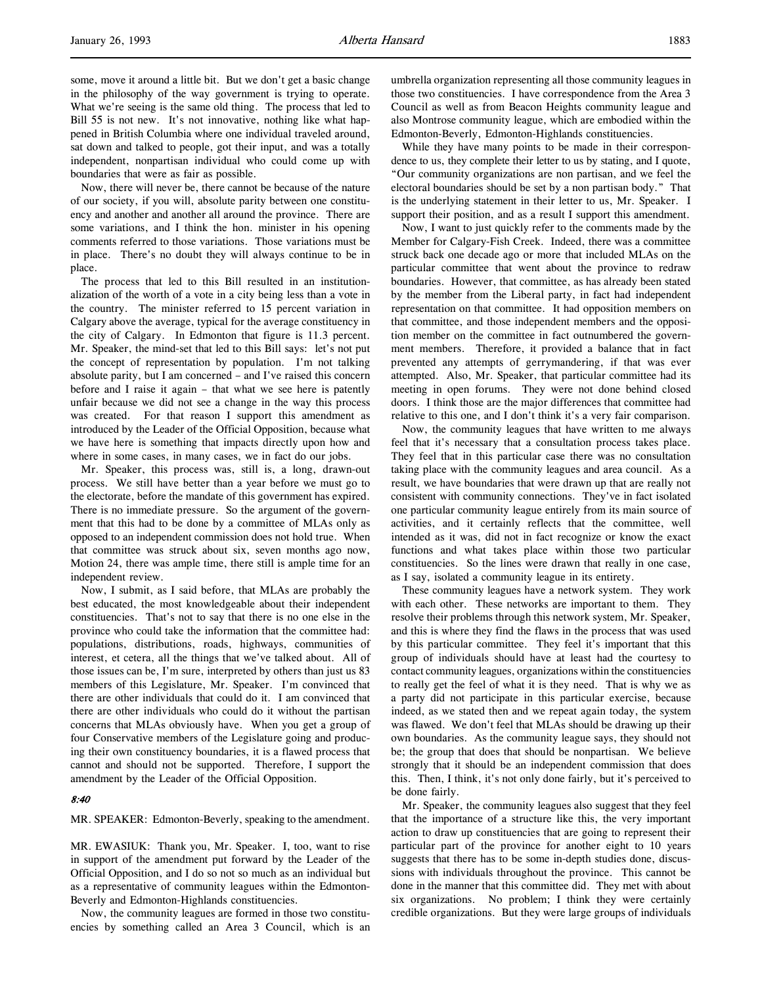some, move it around a little bit. But we don't get a basic change in the philosophy of the way government is trying to operate. What we're seeing is the same old thing. The process that led to Bill 55 is not new. It's not innovative, nothing like what happened in British Columbia where one individual traveled around, sat down and talked to people, got their input, and was a totally independent, nonpartisan individual who could come up with boundaries that were as fair as possible.

Now, there will never be, there cannot be because of the nature of our society, if you will, absolute parity between one constituency and another and another all around the province. There are some variations, and I think the hon. minister in his opening comments referred to those variations. Those variations must be in place. There's no doubt they will always continue to be in place.

The process that led to this Bill resulted in an institutionalization of the worth of a vote in a city being less than a vote in the country. The minister referred to 15 percent variation in Calgary above the average, typical for the average constituency in the city of Calgary. In Edmonton that figure is 11.3 percent. Mr. Speaker, the mind-set that led to this Bill says: let's not put the concept of representation by population. I'm not talking absolute parity, but I am concerned – and I've raised this concern before and I raise it again – that what we see here is patently unfair because we did not see a change in the way this process was created. For that reason I support this amendment as introduced by the Leader of the Official Opposition, because what we have here is something that impacts directly upon how and where in some cases, in many cases, we in fact do our jobs.

Mr. Speaker, this process was, still is, a long, drawn-out process. We still have better than a year before we must go to the electorate, before the mandate of this government has expired. There is no immediate pressure. So the argument of the government that this had to be done by a committee of MLAs only as opposed to an independent commission does not hold true. When that committee was struck about six, seven months ago now, Motion 24, there was ample time, there still is ample time for an independent review.

Now, I submit, as I said before, that MLAs are probably the best educated, the most knowledgeable about their independent constituencies. That's not to say that there is no one else in the province who could take the information that the committee had: populations, distributions, roads, highways, communities of interest, et cetera, all the things that we've talked about. All of those issues can be, I'm sure, interpreted by others than just us 83 members of this Legislature, Mr. Speaker. I'm convinced that there are other individuals that could do it. I am convinced that there are other individuals who could do it without the partisan concerns that MLAs obviously have. When you get a group of four Conservative members of the Legislature going and producing their own constituency boundaries, it is a flawed process that cannot and should not be supported. Therefore, I support the amendment by the Leader of the Official Opposition.

#### 8:40

MR. SPEAKER: Edmonton-Beverly, speaking to the amendment.

MR. EWASIUK: Thank you, Mr. Speaker. I, too, want to rise in support of the amendment put forward by the Leader of the Official Opposition, and I do so not so much as an individual but as a representative of community leagues within the Edmonton-Beverly and Edmonton-Highlands constituencies.

Now, the community leagues are formed in those two constituencies by something called an Area 3 Council, which is an umbrella organization representing all those community leagues in those two constituencies. I have correspondence from the Area 3 Council as well as from Beacon Heights community league and also Montrose community league, which are embodied within the Edmonton-Beverly, Edmonton-Highlands constituencies.

While they have many points to be made in their correspondence to us, they complete their letter to us by stating, and I quote, "Our community organizations are non partisan, and we feel the electoral boundaries should be set by a non partisan body." That is the underlying statement in their letter to us, Mr. Speaker. I support their position, and as a result I support this amendment.

Now, I want to just quickly refer to the comments made by the Member for Calgary-Fish Creek. Indeed, there was a committee struck back one decade ago or more that included MLAs on the particular committee that went about the province to redraw boundaries. However, that committee, as has already been stated by the member from the Liberal party, in fact had independent representation on that committee. It had opposition members on that committee, and those independent members and the opposition member on the committee in fact outnumbered the government members. Therefore, it provided a balance that in fact prevented any attempts of gerrymandering, if that was ever attempted. Also, Mr. Speaker, that particular committee had its meeting in open forums. They were not done behind closed doors. I think those are the major differences that committee had relative to this one, and I don't think it's a very fair comparison.

Now, the community leagues that have written to me always feel that it's necessary that a consultation process takes place. They feel that in this particular case there was no consultation taking place with the community leagues and area council. As a result, we have boundaries that were drawn up that are really not consistent with community connections. They've in fact isolated one particular community league entirely from its main source of activities, and it certainly reflects that the committee, well intended as it was, did not in fact recognize or know the exact functions and what takes place within those two particular constituencies. So the lines were drawn that really in one case, as I say, isolated a community league in its entirety.

These community leagues have a network system. They work with each other. These networks are important to them. They resolve their problems through this network system, Mr. Speaker, and this is where they find the flaws in the process that was used by this particular committee. They feel it's important that this group of individuals should have at least had the courtesy to contact community leagues, organizations within the constituencies to really get the feel of what it is they need. That is why we as a party did not participate in this particular exercise, because indeed, as we stated then and we repeat again today, the system was flawed. We don't feel that MLAs should be drawing up their own boundaries. As the community league says, they should not be; the group that does that should be nonpartisan. We believe strongly that it should be an independent commission that does this. Then, I think, it's not only done fairly, but it's perceived to be done fairly.

Mr. Speaker, the community leagues also suggest that they feel that the importance of a structure like this, the very important action to draw up constituencies that are going to represent their particular part of the province for another eight to 10 years suggests that there has to be some in-depth studies done, discussions with individuals throughout the province. This cannot be done in the manner that this committee did. They met with about six organizations. No problem; I think they were certainly credible organizations. But they were large groups of individuals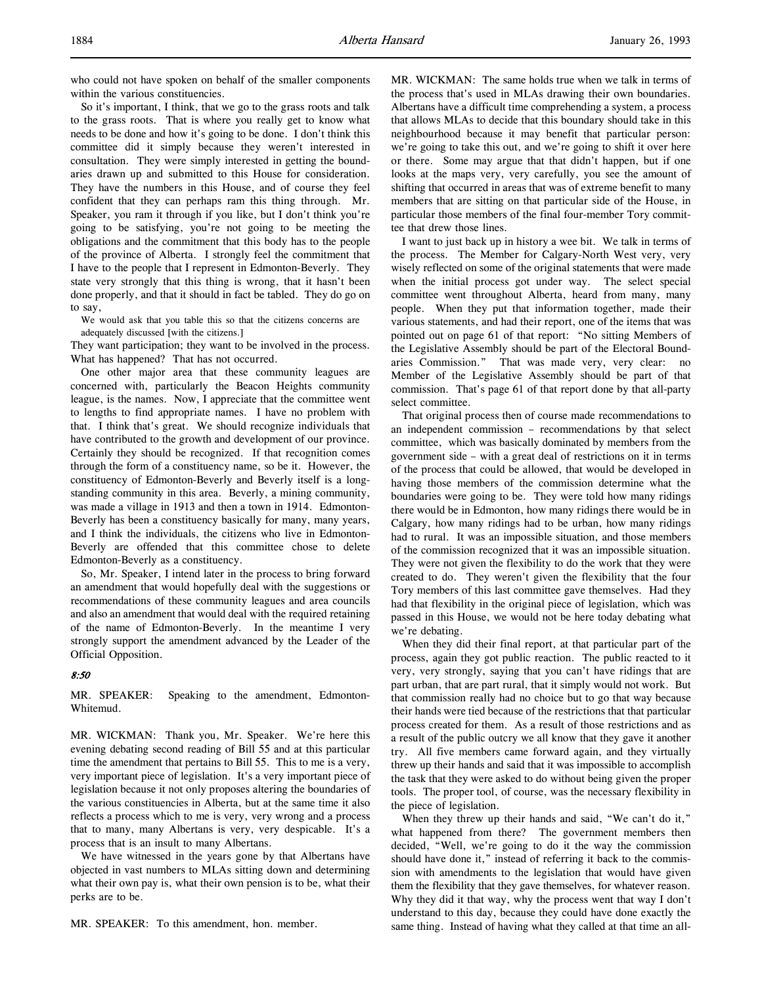So it's important, I think, that we go to the grass roots and talk to the grass roots. That is where you really get to know what needs to be done and how it's going to be done. I don't think this committee did it simply because they weren't interested in consultation. They were simply interested in getting the boundaries drawn up and submitted to this House for consideration. They have the numbers in this House, and of course they feel confident that they can perhaps ram this thing through. Mr. Speaker, you ram it through if you like, but I don't think you're going to be satisfying, you're not going to be meeting the obligations and the commitment that this body has to the people of the province of Alberta. I strongly feel the commitment that I have to the people that I represent in Edmonton-Beverly. They state very strongly that this thing is wrong, that it hasn't been done properly, and that it should in fact be tabled. They do go on to say,

We would ask that you table this so that the citizens concerns are adequately discussed [with the citizens.]

They want participation; they want to be involved in the process. What has happened? That has not occurred.

One other major area that these community leagues are concerned with, particularly the Beacon Heights community league, is the names. Now, I appreciate that the committee went to lengths to find appropriate names. I have no problem with that. I think that's great. We should recognize individuals that have contributed to the growth and development of our province. Certainly they should be recognized. If that recognition comes through the form of a constituency name, so be it. However, the constituency of Edmonton-Beverly and Beverly itself is a longstanding community in this area. Beverly, a mining community, was made a village in 1913 and then a town in 1914. Edmonton-Beverly has been a constituency basically for many, many years, and I think the individuals, the citizens who live in Edmonton-Beverly are offended that this committee chose to delete Edmonton-Beverly as a constituency.

So, Mr. Speaker, I intend later in the process to bring forward an amendment that would hopefully deal with the suggestions or recommendations of these community leagues and area councils and also an amendment that would deal with the required retaining of the name of Edmonton-Beverly. In the meantime I very strongly support the amendment advanced by the Leader of the Official Opposition.

## 8:50

MR. SPEAKER: Speaking to the amendment, Edmonton-Whitemud.

MR. WICKMAN: Thank you, Mr. Speaker. We're here this evening debating second reading of Bill 55 and at this particular time the amendment that pertains to Bill 55. This to me is a very, very important piece of legislation. It's a very important piece of legislation because it not only proposes altering the boundaries of the various constituencies in Alberta, but at the same time it also reflects a process which to me is very, very wrong and a process that to many, many Albertans is very, very despicable. It's a process that is an insult to many Albertans.

We have witnessed in the years gone by that Albertans have objected in vast numbers to MLAs sitting down and determining what their own pay is, what their own pension is to be, what their perks are to be.

MR. SPEAKER: To this amendment, hon. member.

MR. WICKMAN: The same holds true when we talk in terms of the process that's used in MLAs drawing their own boundaries. Albertans have a difficult time comprehending a system, a process that allows MLAs to decide that this boundary should take in this neighbourhood because it may benefit that particular person: we're going to take this out, and we're going to shift it over here or there. Some may argue that that didn't happen, but if one looks at the maps very, very carefully, you see the amount of shifting that occurred in areas that was of extreme benefit to many members that are sitting on that particular side of the House, in particular those members of the final four-member Tory committee that drew those lines.

I want to just back up in history a wee bit. We talk in terms of the process. The Member for Calgary-North West very, very wisely reflected on some of the original statements that were made when the initial process got under way. The select special committee went throughout Alberta, heard from many, many people. When they put that information together, made their various statements, and had their report, one of the items that was pointed out on page 61 of that report: "No sitting Members of the Legislative Assembly should be part of the Electoral Boundaries Commission." That was made very, very clear: no Member of the Legislative Assembly should be part of that commission. That's page 61 of that report done by that all-party select committee.

That original process then of course made recommendations to an independent commission – recommendations by that select committee, which was basically dominated by members from the government side – with a great deal of restrictions on it in terms of the process that could be allowed, that would be developed in having those members of the commission determine what the boundaries were going to be. They were told how many ridings there would be in Edmonton, how many ridings there would be in Calgary, how many ridings had to be urban, how many ridings had to rural. It was an impossible situation, and those members of the commission recognized that it was an impossible situation. They were not given the flexibility to do the work that they were created to do. They weren't given the flexibility that the four Tory members of this last committee gave themselves. Had they had that flexibility in the original piece of legislation, which was passed in this House, we would not be here today debating what we're debating.

When they did their final report, at that particular part of the process, again they got public reaction. The public reacted to it very, very strongly, saying that you can't have ridings that are part urban, that are part rural, that it simply would not work. But that commission really had no choice but to go that way because their hands were tied because of the restrictions that that particular process created for them. As a result of those restrictions and as a result of the public outcry we all know that they gave it another try. All five members came forward again, and they virtually threw up their hands and said that it was impossible to accomplish the task that they were asked to do without being given the proper tools. The proper tool, of course, was the necessary flexibility in the piece of legislation.

When they threw up their hands and said, "We can't do it," what happened from there? The government members then decided, "Well, we're going to do it the way the commission should have done it," instead of referring it back to the commission with amendments to the legislation that would have given them the flexibility that they gave themselves, for whatever reason. Why they did it that way, why the process went that way I don't understand to this day, because they could have done exactly the same thing. Instead of having what they called at that time an all-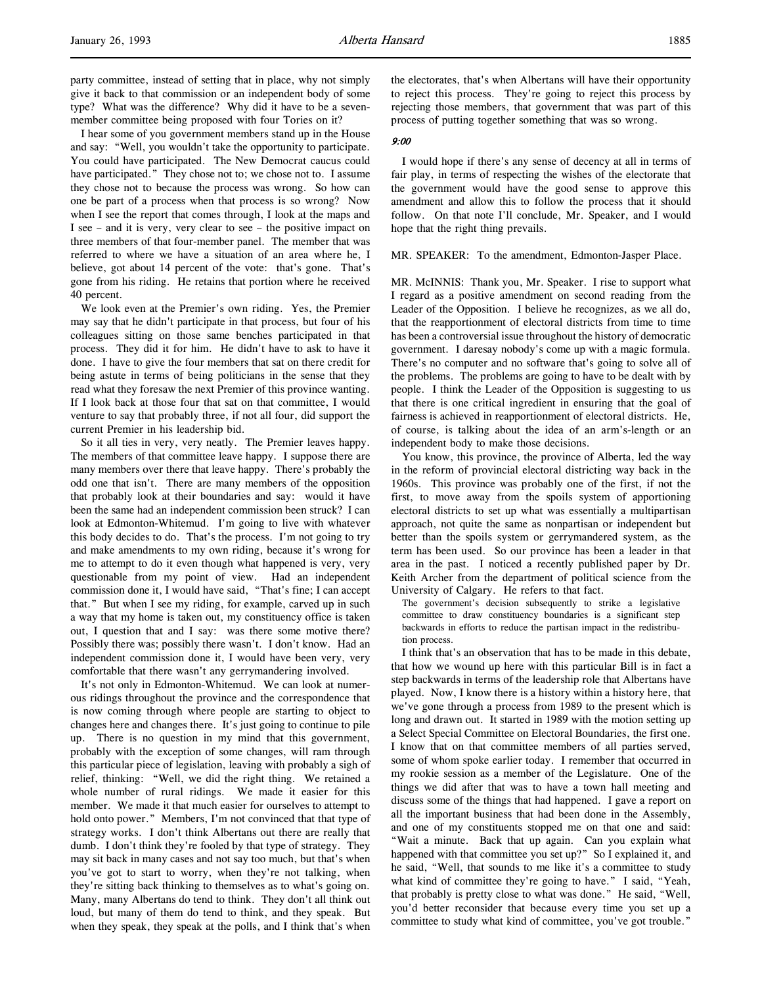I hear some of you government members stand up in the House and say: "Well, you wouldn't take the opportunity to participate. You could have participated. The New Democrat caucus could have participated." They chose not to; we chose not to. I assume they chose not to because the process was wrong. So how can one be part of a process when that process is so wrong? Now when I see the report that comes through, I look at the maps and I see – and it is very, very clear to see – the positive impact on three members of that four-member panel. The member that was referred to where we have a situation of an area where he, I believe, got about 14 percent of the vote: that's gone. That's gone from his riding. He retains that portion where he received 40 percent.

We look even at the Premier's own riding. Yes, the Premier may say that he didn't participate in that process, but four of his colleagues sitting on those same benches participated in that process. They did it for him. He didn't have to ask to have it done. I have to give the four members that sat on there credit for being astute in terms of being politicians in the sense that they read what they foresaw the next Premier of this province wanting. If I look back at those four that sat on that committee, I would venture to say that probably three, if not all four, did support the current Premier in his leadership bid.

So it all ties in very, very neatly. The Premier leaves happy. The members of that committee leave happy. I suppose there are many members over there that leave happy. There's probably the odd one that isn't. There are many members of the opposition that probably look at their boundaries and say: would it have been the same had an independent commission been struck? I can look at Edmonton-Whitemud. I'm going to live with whatever this body decides to do. That's the process. I'm not going to try and make amendments to my own riding, because it's wrong for me to attempt to do it even though what happened is very, very questionable from my point of view. Had an independent commission done it, I would have said, "That's fine; I can accept that." But when I see my riding, for example, carved up in such a way that my home is taken out, my constituency office is taken out, I question that and I say: was there some motive there? Possibly there was; possibly there wasn't. I don't know. Had an independent commission done it, I would have been very, very comfortable that there wasn't any gerrymandering involved.

It's not only in Edmonton-Whitemud. We can look at numerous ridings throughout the province and the correspondence that is now coming through where people are starting to object to changes here and changes there. It's just going to continue to pile up. There is no question in my mind that this government, probably with the exception of some changes, will ram through this particular piece of legislation, leaving with probably a sigh of relief, thinking: "Well, we did the right thing. We retained a whole number of rural ridings. We made it easier for this member. We made it that much easier for ourselves to attempt to hold onto power." Members, I'm not convinced that that type of strategy works. I don't think Albertans out there are really that dumb. I don't think they're fooled by that type of strategy. They may sit back in many cases and not say too much, but that's when you've got to start to worry, when they're not talking, when they're sitting back thinking to themselves as to what's going on. Many, many Albertans do tend to think. They don't all think out loud, but many of them do tend to think, and they speak. But when they speak, they speak at the polls, and I think that's when

the electorates, that's when Albertans will have their opportunity to reject this process. They're going to reject this process by rejecting those members, that government that was part of this process of putting together something that was so wrong.

### 9:00

I would hope if there's any sense of decency at all in terms of fair play, in terms of respecting the wishes of the electorate that the government would have the good sense to approve this amendment and allow this to follow the process that it should follow. On that note I'll conclude, Mr. Speaker, and I would hope that the right thing prevails.

#### MR. SPEAKER: To the amendment, Edmonton-Jasper Place.

MR. McINNIS: Thank you, Mr. Speaker. I rise to support what I regard as a positive amendment on second reading from the Leader of the Opposition. I believe he recognizes, as we all do, that the reapportionment of electoral districts from time to time has been a controversial issue throughout the history of democratic government. I daresay nobody's come up with a magic formula. There's no computer and no software that's going to solve all of the problems. The problems are going to have to be dealt with by people. I think the Leader of the Opposition is suggesting to us that there is one critical ingredient in ensuring that the goal of fairness is achieved in reapportionment of electoral districts. He, of course, is talking about the idea of an arm's-length or an independent body to make those decisions.

You know, this province, the province of Alberta, led the way in the reform of provincial electoral districting way back in the 1960s. This province was probably one of the first, if not the first, to move away from the spoils system of apportioning electoral districts to set up what was essentially a multipartisan approach, not quite the same as nonpartisan or independent but better than the spoils system or gerrymandered system, as the term has been used. So our province has been a leader in that area in the past. I noticed a recently published paper by Dr. Keith Archer from the department of political science from the University of Calgary. He refers to that fact.

The government's decision subsequently to strike a legislative committee to draw constituency boundaries is a significant step backwards in efforts to reduce the partisan impact in the redistribution process.

I think that's an observation that has to be made in this debate, that how we wound up here with this particular Bill is in fact a step backwards in terms of the leadership role that Albertans have played. Now, I know there is a history within a history here, that we've gone through a process from 1989 to the present which is long and drawn out. It started in 1989 with the motion setting up a Select Special Committee on Electoral Boundaries, the first one. I know that on that committee members of all parties served, some of whom spoke earlier today. I remember that occurred in my rookie session as a member of the Legislature. One of the things we did after that was to have a town hall meeting and discuss some of the things that had happened. I gave a report on all the important business that had been done in the Assembly, and one of my constituents stopped me on that one and said: "Wait a minute. Back that up again. Can you explain what happened with that committee you set up?" So I explained it, and he said, "Well, that sounds to me like it's a committee to study what kind of committee they're going to have." I said, "Yeah, that probably is pretty close to what was done." He said, "Well, you'd better reconsider that because every time you set up a committee to study what kind of committee, you've got trouble."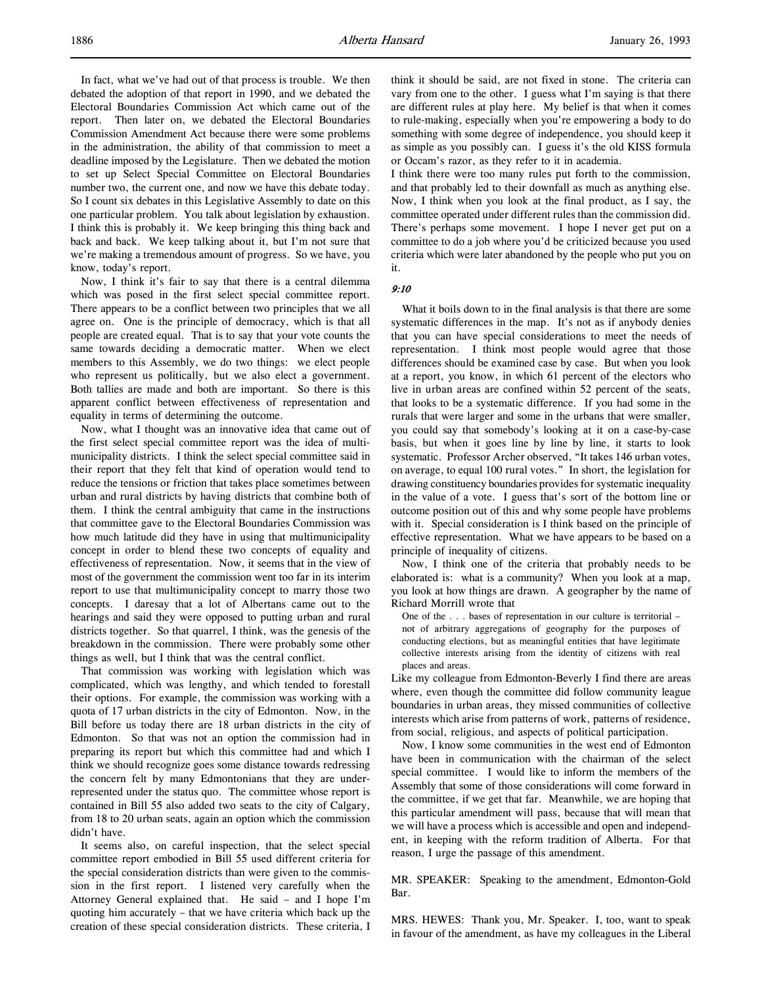In fact, what we've had out of that process is trouble. We then debated the adoption of that report in 1990, and we debated the Electoral Boundaries Commission Act which came out of the report. Then later on, we debated the Electoral Boundaries Commission Amendment Act because there were some problems in the administration, the ability of that commission to meet a deadline imposed by the Legislature. Then we debated the motion to set up Select Special Committee on Electoral Boundaries number two, the current one, and now we have this debate today. So I count six debates in this Legislative Assembly to date on this one particular problem. You talk about legislation by exhaustion. I think this is probably it. We keep bringing this thing back and back and back. We keep talking about it, but I'm not sure that we're making a tremendous amount of progress. So we have, you know, today's report.

Now, I think it's fair to say that there is a central dilemma which was posed in the first select special committee report. There appears to be a conflict between two principles that we all agree on. One is the principle of democracy, which is that all people are created equal. That is to say that your vote counts the same towards deciding a democratic matter. When we elect members to this Assembly, we do two things: we elect people who represent us politically, but we also elect a government. Both tallies are made and both are important. So there is this apparent conflict between effectiveness of representation and equality in terms of determining the outcome.

Now, what I thought was an innovative idea that came out of the first select special committee report was the idea of multimunicipality districts. I think the select special committee said in their report that they felt that kind of operation would tend to reduce the tensions or friction that takes place sometimes between urban and rural districts by having districts that combine both of them. I think the central ambiguity that came in the instructions that committee gave to the Electoral Boundaries Commission was how much latitude did they have in using that multimunicipality concept in order to blend these two concepts of equality and effectiveness of representation. Now, it seems that in the view of most of the government the commission went too far in its interim report to use that multimunicipality concept to marry those two concepts. I daresay that a lot of Albertans came out to the hearings and said they were opposed to putting urban and rural districts together. So that quarrel, I think, was the genesis of the breakdown in the commission. There were probably some other things as well, but I think that was the central conflict.

That commission was working with legislation which was complicated, which was lengthy, and which tended to forestall their options. For example, the commission was working with a quota of 17 urban districts in the city of Edmonton. Now, in the Bill before us today there are 18 urban districts in the city of Edmonton. So that was not an option the commission had in preparing its report but which this committee had and which I think we should recognize goes some distance towards redressing the concern felt by many Edmontonians that they are underrepresented under the status quo. The committee whose report is contained in Bill 55 also added two seats to the city of Calgary, from 18 to 20 urban seats, again an option which the commission didn't have.

It seems also, on careful inspection, that the select special committee report embodied in Bill 55 used different criteria for the special consideration districts than were given to the commission in the first report. I listened very carefully when the Attorney General explained that. He said – and I hope I'm quoting him accurately – that we have criteria which back up the creation of these special consideration districts. These criteria, I

think it should be said, are not fixed in stone. The criteria can vary from one to the other. I guess what I'm saying is that there are different rules at play here. My belief is that when it comes to rule-making, especially when you're empowering a body to do something with some degree of independence, you should keep it as simple as you possibly can. I guess it's the old KISS formula or Occam's razor, as they refer to it in academia.

I think there were too many rules put forth to the commission, and that probably led to their downfall as much as anything else. Now, I think when you look at the final product, as I say, the committee operated under different rules than the commission did. There's perhaps some movement. I hope I never get put on a committee to do a job where you'd be criticized because you used criteria which were later abandoned by the people who put you on it.

#### 9:10

What it boils down to in the final analysis is that there are some systematic differences in the map. It's not as if anybody denies that you can have special considerations to meet the needs of representation. I think most people would agree that those differences should be examined case by case. But when you look at a report, you know, in which 61 percent of the electors who live in urban areas are confined within 52 percent of the seats, that looks to be a systematic difference. If you had some in the rurals that were larger and some in the urbans that were smaller, you could say that somebody's looking at it on a case-by-case basis, but when it goes line by line by line, it starts to look systematic. Professor Archer observed, "It takes 146 urban votes, on average, to equal 100 rural votes." In short, the legislation for drawing constituency boundaries provides for systematic inequality in the value of a vote. I guess that's sort of the bottom line or outcome position out of this and why some people have problems with it. Special consideration is I think based on the principle of effective representation. What we have appears to be based on a principle of inequality of citizens.

Now, I think one of the criteria that probably needs to be elaborated is: what is a community? When you look at a map, you look at how things are drawn. A geographer by the name of Richard Morrill wrote that

One of the . . . bases of representation in our culture is territorial – not of arbitrary aggregations of geography for the purposes of conducting elections, but as meaningful entities that have legitimate collective interests arising from the identity of citizens with real places and areas.

Like my colleague from Edmonton-Beverly I find there are areas where, even though the committee did follow community league boundaries in urban areas, they missed communities of collective interests which arise from patterns of work, patterns of residence, from social, religious, and aspects of political participation.

Now, I know some communities in the west end of Edmonton have been in communication with the chairman of the select special committee. I would like to inform the members of the Assembly that some of those considerations will come forward in the committee, if we get that far. Meanwhile, we are hoping that this particular amendment will pass, because that will mean that we will have a process which is accessible and open and independent, in keeping with the reform tradition of Alberta. For that reason, I urge the passage of this amendment.

MR. SPEAKER: Speaking to the amendment, Edmonton-Gold Bar.

MRS. HEWES: Thank you, Mr. Speaker. I, too, want to speak in favour of the amendment, as have my colleagues in the Liberal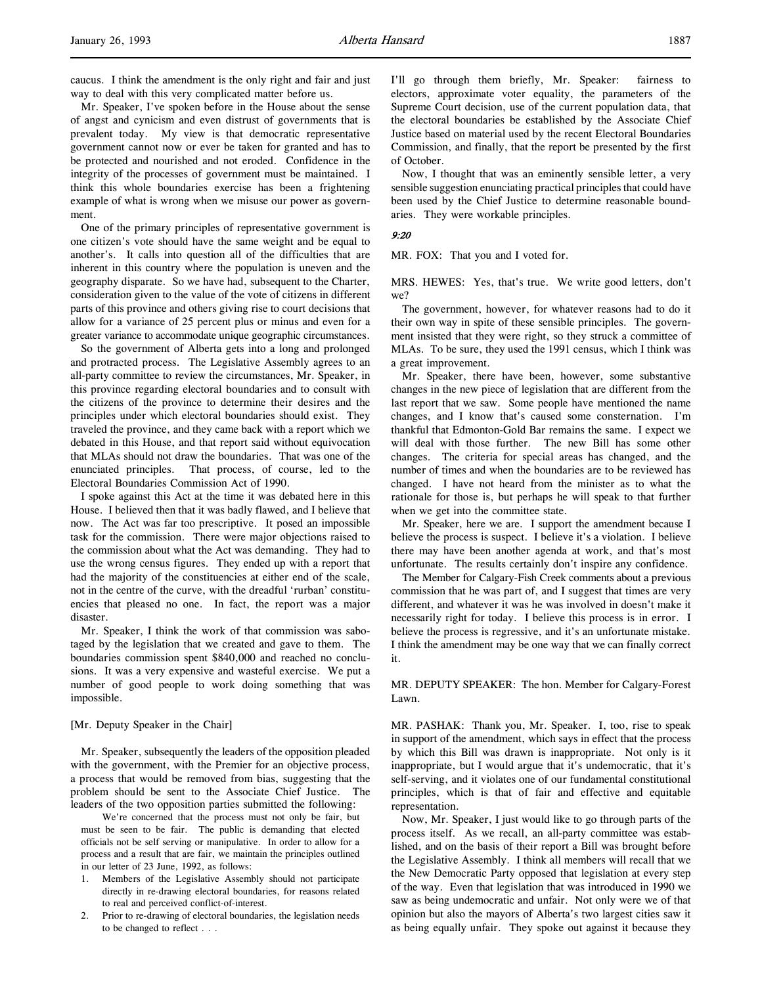caucus. I think the amendment is the only right and fair and just way to deal with this very complicated matter before us.

Mr. Speaker, I've spoken before in the House about the sense of angst and cynicism and even distrust of governments that is prevalent today. My view is that democratic representative government cannot now or ever be taken for granted and has to be protected and nourished and not eroded. Confidence in the integrity of the processes of government must be maintained. I think this whole boundaries exercise has been a frightening example of what is wrong when we misuse our power as government.

One of the primary principles of representative government is one citizen's vote should have the same weight and be equal to another's. It calls into question all of the difficulties that are inherent in this country where the population is uneven and the geography disparate. So we have had, subsequent to the Charter, consideration given to the value of the vote of citizens in different parts of this province and others giving rise to court decisions that allow for a variance of 25 percent plus or minus and even for a greater variance to accommodate unique geographic circumstances.

So the government of Alberta gets into a long and prolonged and protracted process. The Legislative Assembly agrees to an all-party committee to review the circumstances, Mr. Speaker, in this province regarding electoral boundaries and to consult with the citizens of the province to determine their desires and the principles under which electoral boundaries should exist. They traveled the province, and they came back with a report which we debated in this House, and that report said without equivocation that MLAs should not draw the boundaries. That was one of the enunciated principles. That process, of course, led to the Electoral Boundaries Commission Act of 1990.

I spoke against this Act at the time it was debated here in this House. I believed then that it was badly flawed, and I believe that now. The Act was far too prescriptive. It posed an impossible task for the commission. There were major objections raised to the commission about what the Act was demanding. They had to use the wrong census figures. They ended up with a report that had the majority of the constituencies at either end of the scale, not in the centre of the curve, with the dreadful 'rurban' constituencies that pleased no one. In fact, the report was a major disaster.

Mr. Speaker, I think the work of that commission was sabotaged by the legislation that we created and gave to them. The boundaries commission spent \$840,000 and reached no conclusions. It was a very expensive and wasteful exercise. We put a number of good people to work doing something that was impossible.

#### [Mr. Deputy Speaker in the Chair]

Mr. Speaker, subsequently the leaders of the opposition pleaded with the government, with the Premier for an objective process, a process that would be removed from bias, suggesting that the problem should be sent to the Associate Chief Justice. The leaders of the two opposition parties submitted the following:

We're concerned that the process must not only be fair, but must be seen to be fair. The public is demanding that elected officials not be self serving or manipulative. In order to allow for a process and a result that are fair, we maintain the principles outlined in our letter of 23 June, 1992, as follows:

- 1. Members of the Legislative Assembly should not participate directly in re-drawing electoral boundaries, for reasons related to real and perceived conflict-of-interest.
- 2. Prior to re-drawing of electoral boundaries, the legislation needs to be changed to reflect . . .

I'll go through them briefly, Mr. Speaker: fairness to electors, approximate voter equality, the parameters of the Supreme Court decision, use of the current population data, that the electoral boundaries be established by the Associate Chief Justice based on material used by the recent Electoral Boundaries Commission, and finally, that the report be presented by the first of October.

Now, I thought that was an eminently sensible letter, a very sensible suggestion enunciating practical principles that could have been used by the Chief Justice to determine reasonable boundaries. They were workable principles.

#### 9:20

MR. FOX: That you and I voted for.

MRS. HEWES: Yes, that's true. We write good letters, don't we?

The government, however, for whatever reasons had to do it their own way in spite of these sensible principles. The government insisted that they were right, so they struck a committee of MLAs. To be sure, they used the 1991 census, which I think was a great improvement.

Mr. Speaker, there have been, however, some substantive changes in the new piece of legislation that are different from the last report that we saw. Some people have mentioned the name changes, and I know that's caused some consternation. I'm thankful that Edmonton-Gold Bar remains the same. I expect we will deal with those further. The new Bill has some other changes. The criteria for special areas has changed, and the number of times and when the boundaries are to be reviewed has changed. I have not heard from the minister as to what the rationale for those is, but perhaps he will speak to that further when we get into the committee state.

Mr. Speaker, here we are. I support the amendment because I believe the process is suspect. I believe it's a violation. I believe there may have been another agenda at work, and that's most unfortunate. The results certainly don't inspire any confidence.

The Member for Calgary-Fish Creek comments about a previous commission that he was part of, and I suggest that times are very different, and whatever it was he was involved in doesn't make it necessarily right for today. I believe this process is in error. I believe the process is regressive, and it's an unfortunate mistake. I think the amendment may be one way that we can finally correct it.

MR. DEPUTY SPEAKER: The hon. Member for Calgary-Forest Lawn.

MR. PASHAK: Thank you, Mr. Speaker. I, too, rise to speak in support of the amendment, which says in effect that the process by which this Bill was drawn is inappropriate. Not only is it inappropriate, but I would argue that it's undemocratic, that it's self-serving, and it violates one of our fundamental constitutional principles, which is that of fair and effective and equitable representation.

Now, Mr. Speaker, I just would like to go through parts of the process itself. As we recall, an all-party committee was established, and on the basis of their report a Bill was brought before the Legislative Assembly. I think all members will recall that we the New Democratic Party opposed that legislation at every step of the way. Even that legislation that was introduced in 1990 we saw as being undemocratic and unfair. Not only were we of that opinion but also the mayors of Alberta's two largest cities saw it as being equally unfair. They spoke out against it because they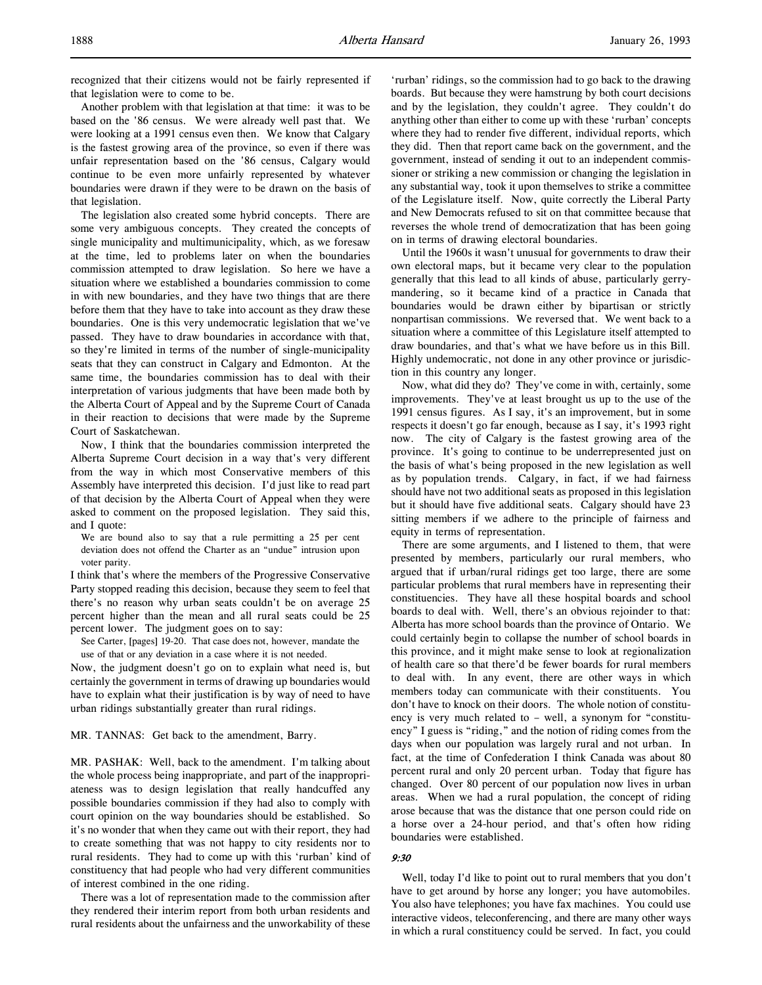Another problem with that legislation at that time: it was to be based on the '86 census. We were already well past that. We were looking at a 1991 census even then. We know that Calgary is the fastest growing area of the province, so even if there was unfair representation based on the '86 census, Calgary would continue to be even more unfairly represented by whatever boundaries were drawn if they were to be drawn on the basis of that legislation.

The legislation also created some hybrid concepts. There are some very ambiguous concepts. They created the concepts of single municipality and multimunicipality, which, as we foresaw at the time, led to problems later on when the boundaries commission attempted to draw legislation. So here we have a situation where we established a boundaries commission to come in with new boundaries, and they have two things that are there before them that they have to take into account as they draw these boundaries. One is this very undemocratic legislation that we've passed. They have to draw boundaries in accordance with that, so they're limited in terms of the number of single-municipality seats that they can construct in Calgary and Edmonton. At the same time, the boundaries commission has to deal with their interpretation of various judgments that have been made both by the Alberta Court of Appeal and by the Supreme Court of Canada in their reaction to decisions that were made by the Supreme Court of Saskatchewan.

Now, I think that the boundaries commission interpreted the Alberta Supreme Court decision in a way that's very different from the way in which most Conservative members of this Assembly have interpreted this decision. I'd just like to read part of that decision by the Alberta Court of Appeal when they were asked to comment on the proposed legislation. They said this, and I quote:

We are bound also to say that a rule permitting a 25 per cent deviation does not offend the Charter as an "undue" intrusion upon voter parity.

I think that's where the members of the Progressive Conservative Party stopped reading this decision, because they seem to feel that there's no reason why urban seats couldn't be on average 25 percent higher than the mean and all rural seats could be 25 percent lower. The judgment goes on to say:

See Carter, [pages] 19-20. That case does not, however, mandate the use of that or any deviation in a case where it is not needed.

Now, the judgment doesn't go on to explain what need is, but certainly the government in terms of drawing up boundaries would have to explain what their justification is by way of need to have urban ridings substantially greater than rural ridings.

### MR. TANNAS: Get back to the amendment, Barry.

MR. PASHAK: Well, back to the amendment. I'm talking about the whole process being inappropriate, and part of the inappropriateness was to design legislation that really handcuffed any possible boundaries commission if they had also to comply with court opinion on the way boundaries should be established. So it's no wonder that when they came out with their report, they had to create something that was not happy to city residents nor to rural residents. They had to come up with this 'rurban' kind of constituency that had people who had very different communities of interest combined in the one riding.

There was a lot of representation made to the commission after they rendered their interim report from both urban residents and rural residents about the unfairness and the unworkability of these 'rurban' ridings, so the commission had to go back to the drawing boards. But because they were hamstrung by both court decisions and by the legislation, they couldn't agree. They couldn't do anything other than either to come up with these 'rurban' concepts where they had to render five different, individual reports, which they did. Then that report came back on the government, and the government, instead of sending it out to an independent commissioner or striking a new commission or changing the legislation in any substantial way, took it upon themselves to strike a committee of the Legislature itself. Now, quite correctly the Liberal Party and New Democrats refused to sit on that committee because that reverses the whole trend of democratization that has been going on in terms of drawing electoral boundaries.

Until the 1960s it wasn't unusual for governments to draw their own electoral maps, but it became very clear to the population generally that this lead to all kinds of abuse, particularly gerrymandering, so it became kind of a practice in Canada that boundaries would be drawn either by bipartisan or strictly nonpartisan commissions. We reversed that. We went back to a situation where a committee of this Legislature itself attempted to draw boundaries, and that's what we have before us in this Bill. Highly undemocratic, not done in any other province or jurisdiction in this country any longer.

Now, what did they do? They've come in with, certainly, some improvements. They've at least brought us up to the use of the 1991 census figures. As I say, it's an improvement, but in some respects it doesn't go far enough, because as I say, it's 1993 right now. The city of Calgary is the fastest growing area of the province. It's going to continue to be underrepresented just on the basis of what's being proposed in the new legislation as well as by population trends. Calgary, in fact, if we had fairness should have not two additional seats as proposed in this legislation but it should have five additional seats. Calgary should have 23 sitting members if we adhere to the principle of fairness and equity in terms of representation.

There are some arguments, and I listened to them, that were presented by members, particularly our rural members, who argued that if urban/rural ridings get too large, there are some particular problems that rural members have in representing their constituencies. They have all these hospital boards and school boards to deal with. Well, there's an obvious rejoinder to that: Alberta has more school boards than the province of Ontario. We could certainly begin to collapse the number of school boards in this province, and it might make sense to look at regionalization of health care so that there'd be fewer boards for rural members to deal with. In any event, there are other ways in which members today can communicate with their constituents. You don't have to knock on their doors. The whole notion of constituency is very much related to – well, a synonym for "constituency" I guess is "riding," and the notion of riding comes from the days when our population was largely rural and not urban. In fact, at the time of Confederation I think Canada was about 80 percent rural and only 20 percent urban. Today that figure has changed. Over 80 percent of our population now lives in urban areas. When we had a rural population, the concept of riding arose because that was the distance that one person could ride on a horse over a 24-hour period, and that's often how riding boundaries were established.

#### 9:30

Well, today I'd like to point out to rural members that you don't have to get around by horse any longer; you have automobiles. You also have telephones; you have fax machines. You could use interactive videos, teleconferencing, and there are many other ways in which a rural constituency could be served. In fact, you could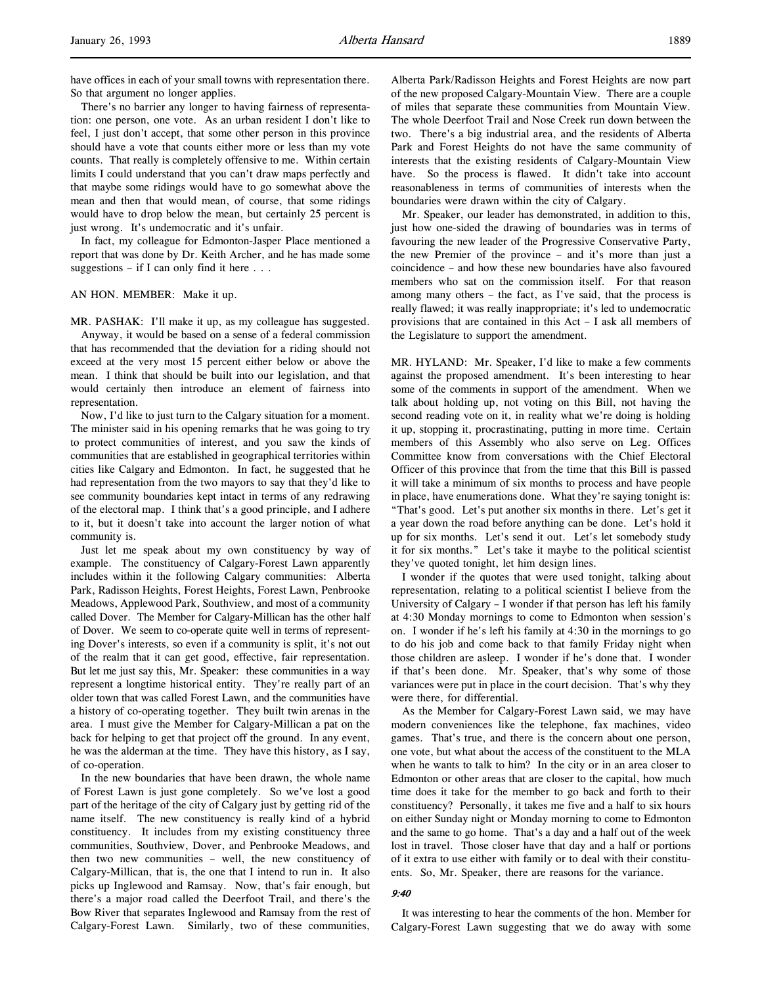There's no barrier any longer to having fairness of representation: one person, one vote. As an urban resident I don't like to feel, I just don't accept, that some other person in this province should have a vote that counts either more or less than my vote counts. That really is completely offensive to me. Within certain limits I could understand that you can't draw maps perfectly and that maybe some ridings would have to go somewhat above the mean and then that would mean, of course, that some ridings would have to drop below the mean, but certainly 25 percent is just wrong. It's undemocratic and it's unfair.

In fact, my colleague for Edmonton-Jasper Place mentioned a report that was done by Dr. Keith Archer, and he has made some suggestions – if I can only find it here  $\dots$ 

### AN HON. MEMBER: Make it up.

MR. PASHAK: I'll make it up, as my colleague has suggested. Anyway, it would be based on a sense of a federal commission that has recommended that the deviation for a riding should not exceed at the very most 15 percent either below or above the mean. I think that should be built into our legislation, and that would certainly then introduce an element of fairness into representation.

Now, I'd like to just turn to the Calgary situation for a moment. The minister said in his opening remarks that he was going to try to protect communities of interest, and you saw the kinds of communities that are established in geographical territories within cities like Calgary and Edmonton. In fact, he suggested that he had representation from the two mayors to say that they'd like to see community boundaries kept intact in terms of any redrawing of the electoral map. I think that's a good principle, and I adhere to it, but it doesn't take into account the larger notion of what community is.

Just let me speak about my own constituency by way of example. The constituency of Calgary-Forest Lawn apparently includes within it the following Calgary communities: Alberta Park, Radisson Heights, Forest Heights, Forest Lawn, Penbrooke Meadows, Applewood Park, Southview, and most of a community called Dover. The Member for Calgary-Millican has the other half of Dover. We seem to co-operate quite well in terms of representing Dover's interests, so even if a community is split, it's not out of the realm that it can get good, effective, fair representation. But let me just say this, Mr. Speaker: these communities in a way represent a longtime historical entity. They're really part of an older town that was called Forest Lawn, and the communities have a history of co-operating together. They built twin arenas in the area. I must give the Member for Calgary-Millican a pat on the back for helping to get that project off the ground. In any event, he was the alderman at the time. They have this history, as I say, of co-operation.

In the new boundaries that have been drawn, the whole name of Forest Lawn is just gone completely. So we've lost a good part of the heritage of the city of Calgary just by getting rid of the name itself. The new constituency is really kind of a hybrid constituency. It includes from my existing constituency three communities, Southview, Dover, and Penbrooke Meadows, and then two new communities – well, the new constituency of Calgary-Millican, that is, the one that I intend to run in. It also picks up Inglewood and Ramsay. Now, that's fair enough, but there's a major road called the Deerfoot Trail, and there's the Bow River that separates Inglewood and Ramsay from the rest of Calgary-Forest Lawn. Similarly, two of these communities,

Alberta Park/Radisson Heights and Forest Heights are now part of the new proposed Calgary-Mountain View. There are a couple of miles that separate these communities from Mountain View. The whole Deerfoot Trail and Nose Creek run down between the two. There's a big industrial area, and the residents of Alberta Park and Forest Heights do not have the same community of interests that the existing residents of Calgary-Mountain View have. So the process is flawed. It didn't take into account reasonableness in terms of communities of interests when the boundaries were drawn within the city of Calgary.

Mr. Speaker, our leader has demonstrated, in addition to this, just how one-sided the drawing of boundaries was in terms of favouring the new leader of the Progressive Conservative Party, the new Premier of the province – and it's more than just a coincidence – and how these new boundaries have also favoured members who sat on the commission itself. For that reason among many others – the fact, as I've said, that the process is really flawed; it was really inappropriate; it's led to undemocratic provisions that are contained in this Act – I ask all members of the Legislature to support the amendment.

MR. HYLAND: Mr. Speaker, I'd like to make a few comments against the proposed amendment. It's been interesting to hear some of the comments in support of the amendment. When we talk about holding up, not voting on this Bill, not having the second reading vote on it, in reality what we're doing is holding it up, stopping it, procrastinating, putting in more time. Certain members of this Assembly who also serve on Leg. Offices Committee know from conversations with the Chief Electoral Officer of this province that from the time that this Bill is passed it will take a minimum of six months to process and have people in place, have enumerations done. What they're saying tonight is: "That's good. Let's put another six months in there. Let's get it a year down the road before anything can be done. Let's hold it up for six months. Let's send it out. Let's let somebody study it for six months." Let's take it maybe to the political scientist they've quoted tonight, let him design lines.

I wonder if the quotes that were used tonight, talking about representation, relating to a political scientist I believe from the University of Calgary – I wonder if that person has left his family at 4:30 Monday mornings to come to Edmonton when session's on. I wonder if he's left his family at 4:30 in the mornings to go to do his job and come back to that family Friday night when those children are asleep. I wonder if he's done that. I wonder if that's been done. Mr. Speaker, that's why some of those variances were put in place in the court decision. That's why they were there, for differential.

As the Member for Calgary-Forest Lawn said, we may have modern conveniences like the telephone, fax machines, video games. That's true, and there is the concern about one person, one vote, but what about the access of the constituent to the MLA when he wants to talk to him? In the city or in an area closer to Edmonton or other areas that are closer to the capital, how much time does it take for the member to go back and forth to their constituency? Personally, it takes me five and a half to six hours on either Sunday night or Monday morning to come to Edmonton and the same to go home. That's a day and a half out of the week lost in travel. Those closer have that day and a half or portions of it extra to use either with family or to deal with their constituents. So, Mr. Speaker, there are reasons for the variance.

#### 9:40

It was interesting to hear the comments of the hon. Member for Calgary-Forest Lawn suggesting that we do away with some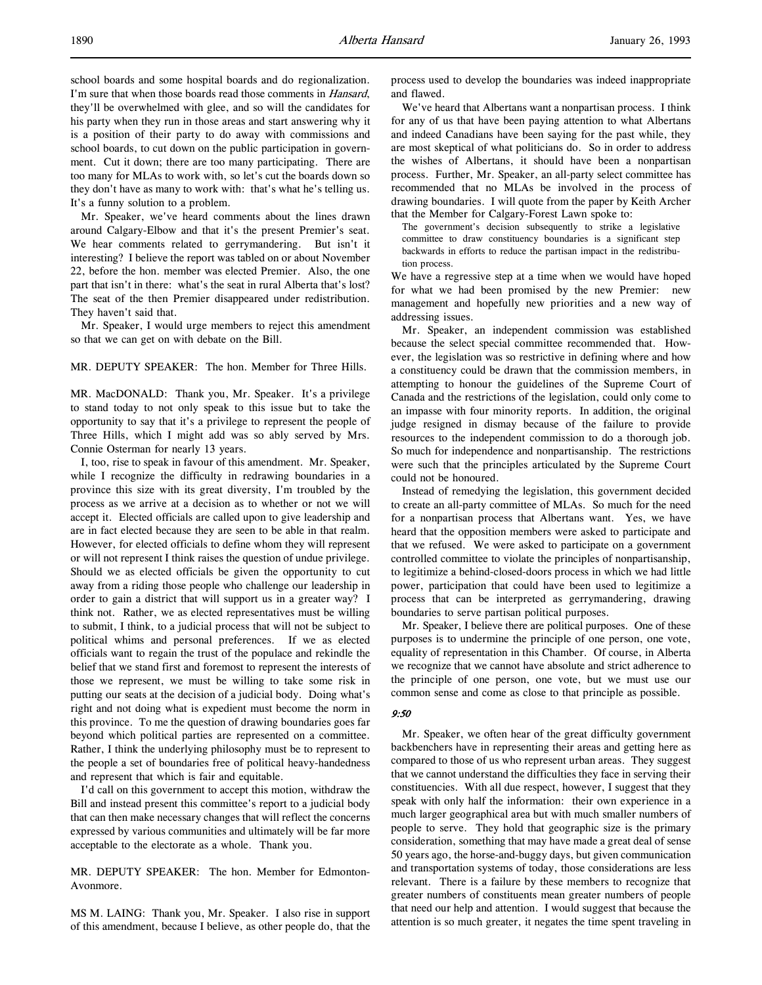school boards and some hospital boards and do regionalization. I'm sure that when those boards read those comments in *Hansard*, they'll be overwhelmed with glee, and so will the candidates for his party when they run in those areas and start answering why it is a position of their party to do away with commissions and school boards, to cut down on the public participation in government. Cut it down; there are too many participating. There are too many for MLAs to work with, so let's cut the boards down so they don't have as many to work with: that's what he's telling us. It's a funny solution to a problem.

Mr. Speaker, we've heard comments about the lines drawn around Calgary-Elbow and that it's the present Premier's seat. We hear comments related to gerrymandering. But isn't it interesting? I believe the report was tabled on or about November 22, before the hon. member was elected Premier. Also, the one part that isn't in there: what's the seat in rural Alberta that's lost? The seat of the then Premier disappeared under redistribution. They haven't said that.

Mr. Speaker, I would urge members to reject this amendment so that we can get on with debate on the Bill.

### MR. DEPUTY SPEAKER: The hon. Member for Three Hills.

MR. MacDONALD: Thank you, Mr. Speaker. It's a privilege to stand today to not only speak to this issue but to take the opportunity to say that it's a privilege to represent the people of Three Hills, which I might add was so ably served by Mrs. Connie Osterman for nearly 13 years.

I, too, rise to speak in favour of this amendment. Mr. Speaker, while I recognize the difficulty in redrawing boundaries in a province this size with its great diversity, I'm troubled by the process as we arrive at a decision as to whether or not we will accept it. Elected officials are called upon to give leadership and are in fact elected because they are seen to be able in that realm. However, for elected officials to define whom they will represent or will not represent I think raises the question of undue privilege. Should we as elected officials be given the opportunity to cut away from a riding those people who challenge our leadership in order to gain a district that will support us in a greater way? I think not. Rather, we as elected representatives must be willing to submit, I think, to a judicial process that will not be subject to political whims and personal preferences. If we as elected officials want to regain the trust of the populace and rekindle the belief that we stand first and foremost to represent the interests of those we represent, we must be willing to take some risk in putting our seats at the decision of a judicial body. Doing what's right and not doing what is expedient must become the norm in this province. To me the question of drawing boundaries goes far beyond which political parties are represented on a committee. Rather, I think the underlying philosophy must be to represent to the people a set of boundaries free of political heavy-handedness and represent that which is fair and equitable.

I'd call on this government to accept this motion, withdraw the Bill and instead present this committee's report to a judicial body that can then make necessary changes that will reflect the concerns expressed by various communities and ultimately will be far more acceptable to the electorate as a whole. Thank you.

MR. DEPUTY SPEAKER: The hon. Member for Edmonton-Avonmore.

MS M. LAING: Thank you, Mr. Speaker. I also rise in support of this amendment, because I believe, as other people do, that the process used to develop the boundaries was indeed inappropriate and flawed.

We've heard that Albertans want a nonpartisan process. I think for any of us that have been paying attention to what Albertans and indeed Canadians have been saying for the past while, they are most skeptical of what politicians do. So in order to address the wishes of Albertans, it should have been a nonpartisan process. Further, Mr. Speaker, an all-party select committee has recommended that no MLAs be involved in the process of drawing boundaries. I will quote from the paper by Keith Archer that the Member for Calgary-Forest Lawn spoke to:

The government's decision subsequently to strike a legislative committee to draw constituency boundaries is a significant step backwards in efforts to reduce the partisan impact in the redistribution process.

We have a regressive step at a time when we would have hoped for what we had been promised by the new Premier: new management and hopefully new priorities and a new way of addressing issues.

Mr. Speaker, an independent commission was established because the select special committee recommended that. However, the legislation was so restrictive in defining where and how a constituency could be drawn that the commission members, in attempting to honour the guidelines of the Supreme Court of Canada and the restrictions of the legislation, could only come to an impasse with four minority reports. In addition, the original judge resigned in dismay because of the failure to provide resources to the independent commission to do a thorough job. So much for independence and nonpartisanship. The restrictions were such that the principles articulated by the Supreme Court could not be honoured.

Instead of remedying the legislation, this government decided to create an all-party committee of MLAs. So much for the need for a nonpartisan process that Albertans want. Yes, we have heard that the opposition members were asked to participate and that we refused. We were asked to participate on a government controlled committee to violate the principles of nonpartisanship, to legitimize a behind-closed-doors process in which we had little power, participation that could have been used to legitimize a process that can be interpreted as gerrymandering, drawing boundaries to serve partisan political purposes.

Mr. Speaker, I believe there are political purposes. One of these purposes is to undermine the principle of one person, one vote, equality of representation in this Chamber. Of course, in Alberta we recognize that we cannot have absolute and strict adherence to the principle of one person, one vote, but we must use our common sense and come as close to that principle as possible.

#### 9:50

Mr. Speaker, we often hear of the great difficulty government backbenchers have in representing their areas and getting here as compared to those of us who represent urban areas. They suggest that we cannot understand the difficulties they face in serving their constituencies. With all due respect, however, I suggest that they speak with only half the information: their own experience in a much larger geographical area but with much smaller numbers of people to serve. They hold that geographic size is the primary consideration, something that may have made a great deal of sense 50 years ago, the horse-and-buggy days, but given communication and transportation systems of today, those considerations are less relevant. There is a failure by these members to recognize that greater numbers of constituents mean greater numbers of people that need our help and attention. I would suggest that because the attention is so much greater, it negates the time spent traveling in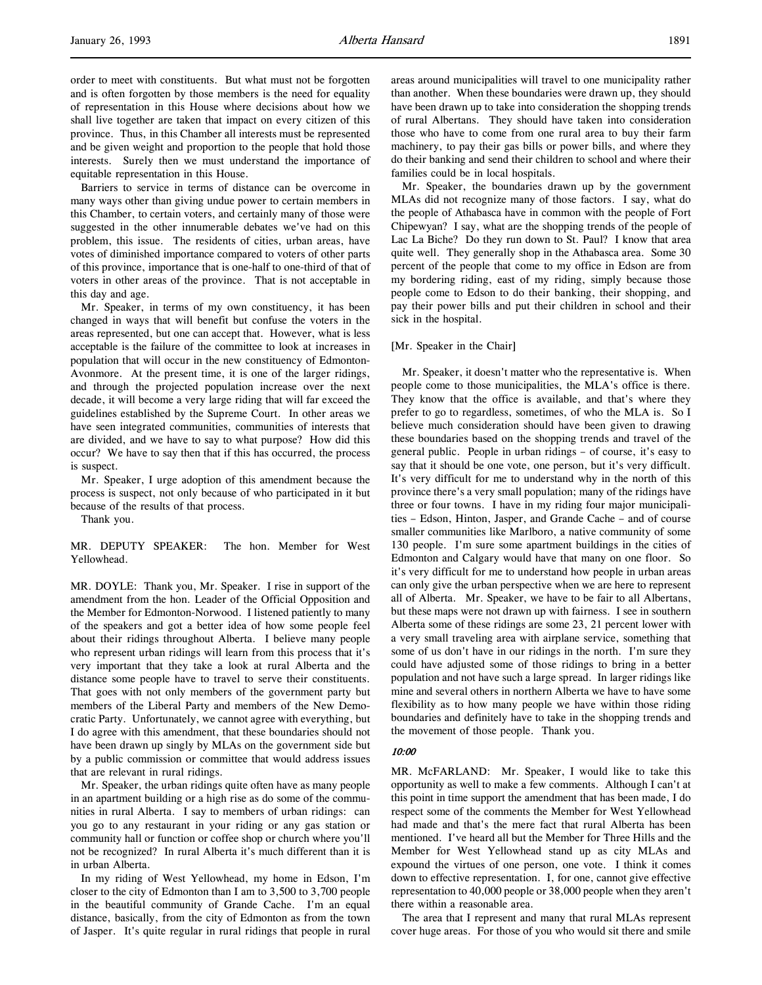order to meet with constituents. But what must not be forgotten and is often forgotten by those members is the need for equality of representation in this House where decisions about how we shall live together are taken that impact on every citizen of this province. Thus, in this Chamber all interests must be represented and be given weight and proportion to the people that hold those interests. Surely then we must understand the importance of equitable representation in this House.

Barriers to service in terms of distance can be overcome in many ways other than giving undue power to certain members in this Chamber, to certain voters, and certainly many of those were suggested in the other innumerable debates we've had on this problem, this issue. The residents of cities, urban areas, have votes of diminished importance compared to voters of other parts of this province, importance that is one-half to one-third of that of voters in other areas of the province. That is not acceptable in this day and age.

Mr. Speaker, in terms of my own constituency, it has been changed in ways that will benefit but confuse the voters in the areas represented, but one can accept that. However, what is less acceptable is the failure of the committee to look at increases in population that will occur in the new constituency of Edmonton-Avonmore. At the present time, it is one of the larger ridings, and through the projected population increase over the next decade, it will become a very large riding that will far exceed the guidelines established by the Supreme Court. In other areas we have seen integrated communities, communities of interests that are divided, and we have to say to what purpose? How did this occur? We have to say then that if this has occurred, the process is suspect.

Mr. Speaker, I urge adoption of this amendment because the process is suspect, not only because of who participated in it but because of the results of that process.

Thank you.

MR. DEPUTY SPEAKER: The hon. Member for West Yellowhead.

MR. DOYLE: Thank you, Mr. Speaker. I rise in support of the amendment from the hon. Leader of the Official Opposition and the Member for Edmonton-Norwood. I listened patiently to many of the speakers and got a better idea of how some people feel about their ridings throughout Alberta. I believe many people who represent urban ridings will learn from this process that it's very important that they take a look at rural Alberta and the distance some people have to travel to serve their constituents. That goes with not only members of the government party but members of the Liberal Party and members of the New Democratic Party. Unfortunately, we cannot agree with everything, but I do agree with this amendment, that these boundaries should not have been drawn up singly by MLAs on the government side but by a public commission or committee that would address issues that are relevant in rural ridings.

Mr. Speaker, the urban ridings quite often have as many people in an apartment building or a high rise as do some of the communities in rural Alberta. I say to members of urban ridings: can you go to any restaurant in your riding or any gas station or community hall or function or coffee shop or church where you'll not be recognized? In rural Alberta it's much different than it is in urban Alberta.

In my riding of West Yellowhead, my home in Edson, I'm closer to the city of Edmonton than I am to 3,500 to 3,700 people in the beautiful community of Grande Cache. I'm an equal distance, basically, from the city of Edmonton as from the town of Jasper. It's quite regular in rural ridings that people in rural areas around municipalities will travel to one municipality rather than another. When these boundaries were drawn up, they should have been drawn up to take into consideration the shopping trends of rural Albertans. They should have taken into consideration those who have to come from one rural area to buy their farm machinery, to pay their gas bills or power bills, and where they do their banking and send their children to school and where their families could be in local hospitals.

Mr. Speaker, the boundaries drawn up by the government MLAs did not recognize many of those factors. I say, what do the people of Athabasca have in common with the people of Fort Chipewyan? I say, what are the shopping trends of the people of Lac La Biche? Do they run down to St. Paul? I know that area quite well. They generally shop in the Athabasca area. Some 30 percent of the people that come to my office in Edson are from my bordering riding, east of my riding, simply because those people come to Edson to do their banking, their shopping, and pay their power bills and put their children in school and their sick in the hospital.

#### [Mr. Speaker in the Chair]

Mr. Speaker, it doesn't matter who the representative is. When people come to those municipalities, the MLA's office is there. They know that the office is available, and that's where they prefer to go to regardless, sometimes, of who the MLA is. So I believe much consideration should have been given to drawing these boundaries based on the shopping trends and travel of the general public. People in urban ridings – of course, it's easy to say that it should be one vote, one person, but it's very difficult. It's very difficult for me to understand why in the north of this province there's a very small population; many of the ridings have three or four towns. I have in my riding four major municipalities – Edson, Hinton, Jasper, and Grande Cache – and of course smaller communities like Marlboro, a native community of some 130 people. I'm sure some apartment buildings in the cities of Edmonton and Calgary would have that many on one floor. So it's very difficult for me to understand how people in urban areas can only give the urban perspective when we are here to represent all of Alberta. Mr. Speaker, we have to be fair to all Albertans, but these maps were not drawn up with fairness. I see in southern Alberta some of these ridings are some 23, 21 percent lower with a very small traveling area with airplane service, something that some of us don't have in our ridings in the north. I'm sure they could have adjusted some of those ridings to bring in a better population and not have such a large spread. In larger ridings like mine and several others in northern Alberta we have to have some flexibility as to how many people we have within those riding boundaries and definitely have to take in the shopping trends and the movement of those people. Thank you.

#### 10:00

MR. McFARLAND: Mr. Speaker, I would like to take this opportunity as well to make a few comments. Although I can't at this point in time support the amendment that has been made, I do respect some of the comments the Member for West Yellowhead had made and that's the mere fact that rural Alberta has been mentioned. I've heard all but the Member for Three Hills and the Member for West Yellowhead stand up as city MLAs and expound the virtues of one person, one vote. I think it comes down to effective representation. I, for one, cannot give effective representation to 40,000 people or 38,000 people when they aren't there within a reasonable area.

The area that I represent and many that rural MLAs represent cover huge areas. For those of you who would sit there and smile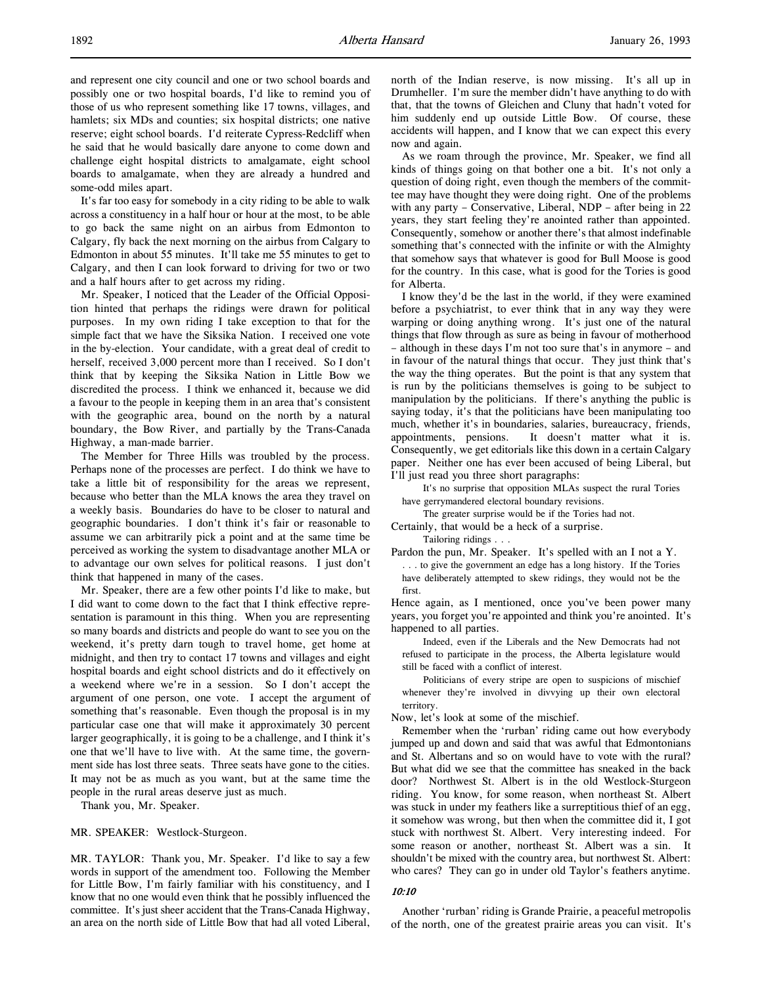and represent one city council and one or two school boards and possibly one or two hospital boards, I'd like to remind you of those of us who represent something like 17 towns, villages, and hamlets; six MDs and counties; six hospital districts; one native reserve; eight school boards. I'd reiterate Cypress-Redcliff when he said that he would basically dare anyone to come down and challenge eight hospital districts to amalgamate, eight school boards to amalgamate, when they are already a hundred and some-odd miles apart.

It's far too easy for somebody in a city riding to be able to walk across a constituency in a half hour or hour at the most, to be able to go back the same night on an airbus from Edmonton to Calgary, fly back the next morning on the airbus from Calgary to Edmonton in about 55 minutes. It'll take me 55 minutes to get to Calgary, and then I can look forward to driving for two or two and a half hours after to get across my riding.

Mr. Speaker, I noticed that the Leader of the Official Opposition hinted that perhaps the ridings were drawn for political purposes. In my own riding I take exception to that for the simple fact that we have the Siksika Nation. I received one vote in the by-election. Your candidate, with a great deal of credit to herself, received 3,000 percent more than I received. So I don't think that by keeping the Siksika Nation in Little Bow we discredited the process. I think we enhanced it, because we did a favour to the people in keeping them in an area that's consistent with the geographic area, bound on the north by a natural boundary, the Bow River, and partially by the Trans-Canada Highway, a man-made barrier.

The Member for Three Hills was troubled by the process. Perhaps none of the processes are perfect. I do think we have to take a little bit of responsibility for the areas we represent, because who better than the MLA knows the area they travel on a weekly basis. Boundaries do have to be closer to natural and geographic boundaries. I don't think it's fair or reasonable to assume we can arbitrarily pick a point and at the same time be perceived as working the system to disadvantage another MLA or to advantage our own selves for political reasons. I just don't think that happened in many of the cases.

Mr. Speaker, there are a few other points I'd like to make, but I did want to come down to the fact that I think effective representation is paramount in this thing. When you are representing so many boards and districts and people do want to see you on the weekend, it's pretty darn tough to travel home, get home at midnight, and then try to contact 17 towns and villages and eight hospital boards and eight school districts and do it effectively on a weekend where we're in a session. So I don't accept the argument of one person, one vote. I accept the argument of something that's reasonable. Even though the proposal is in my particular case one that will make it approximately 30 percent larger geographically, it is going to be a challenge, and I think it's one that we'll have to live with. At the same time, the government side has lost three seats. Three seats have gone to the cities. It may not be as much as you want, but at the same time the people in the rural areas deserve just as much.

Thank you, Mr. Speaker.

MR. SPEAKER: Westlock-Sturgeon.

MR. TAYLOR: Thank you, Mr. Speaker. I'd like to say a few words in support of the amendment too. Following the Member for Little Bow, I'm fairly familiar with his constituency, and I know that no one would even think that he possibly influenced the committee. It's just sheer accident that the Trans-Canada Highway, an area on the north side of Little Bow that had all voted Liberal,

north of the Indian reserve, is now missing. It's all up in Drumheller. I'm sure the member didn't have anything to do with that, that the towns of Gleichen and Cluny that hadn't voted for him suddenly end up outside Little Bow. Of course, these accidents will happen, and I know that we can expect this every now and again.

As we roam through the province, Mr. Speaker, we find all kinds of things going on that bother one a bit. It's not only a question of doing right, even though the members of the committee may have thought they were doing right. One of the problems with any party – Conservative, Liberal, NDP – after being in 22 years, they start feeling they're anointed rather than appointed. Consequently, somehow or another there's that almost indefinable something that's connected with the infinite or with the Almighty that somehow says that whatever is good for Bull Moose is good for the country. In this case, what is good for the Tories is good for Alberta.

I know they'd be the last in the world, if they were examined before a psychiatrist, to ever think that in any way they were warping or doing anything wrong. It's just one of the natural things that flow through as sure as being in favour of motherhood – although in these days I'm not too sure that's in anymore – and in favour of the natural things that occur. They just think that's the way the thing operates. But the point is that any system that is run by the politicians themselves is going to be subject to manipulation by the politicians. If there's anything the public is saying today, it's that the politicians have been manipulating too much, whether it's in boundaries, salaries, bureaucracy, friends, appointments, pensions. It doesn't matter what it is. Consequently, we get editorials like this down in a certain Calgary paper. Neither one has ever been accused of being Liberal, but I'll just read you three short paragraphs:

It's no surprise that opposition MLAs suspect the rural Tories have gerrymandered electoral boundary revisions.

The greater surprise would be if the Tories had not.

Certainly, that would be a heck of a surprise.

Tailoring ridings . . .

Pardon the pun, Mr. Speaker. It's spelled with an I not a Y.

. . . to give the government an edge has a long history. If the Tories have deliberately attempted to skew ridings, they would not be the first.

Hence again, as I mentioned, once you've been power many years, you forget you're appointed and think you're anointed. It's happened to all parties.

Indeed, even if the Liberals and the New Democrats had not refused to participate in the process, the Alberta legislature would still be faced with a conflict of interest.

Politicians of every stripe are open to suspicions of mischief whenever they're involved in divvying up their own electoral territory.

Now, let's look at some of the mischief.

Remember when the 'rurban' riding came out how everybody jumped up and down and said that was awful that Edmontonians and St. Albertans and so on would have to vote with the rural? But what did we see that the committee has sneaked in the back door? Northwest St. Albert is in the old Westlock-Sturgeon riding. You know, for some reason, when northeast St. Albert was stuck in under my feathers like a surreptitious thief of an egg, it somehow was wrong, but then when the committee did it, I got stuck with northwest St. Albert. Very interesting indeed. For some reason or another, northeast St. Albert was a sin. It shouldn't be mixed with the country area, but northwest St. Albert: who cares? They can go in under old Taylor's feathers anytime.

### 10:10

Another 'rurban' riding is Grande Prairie, a peaceful metropolis of the north, one of the greatest prairie areas you can visit. It's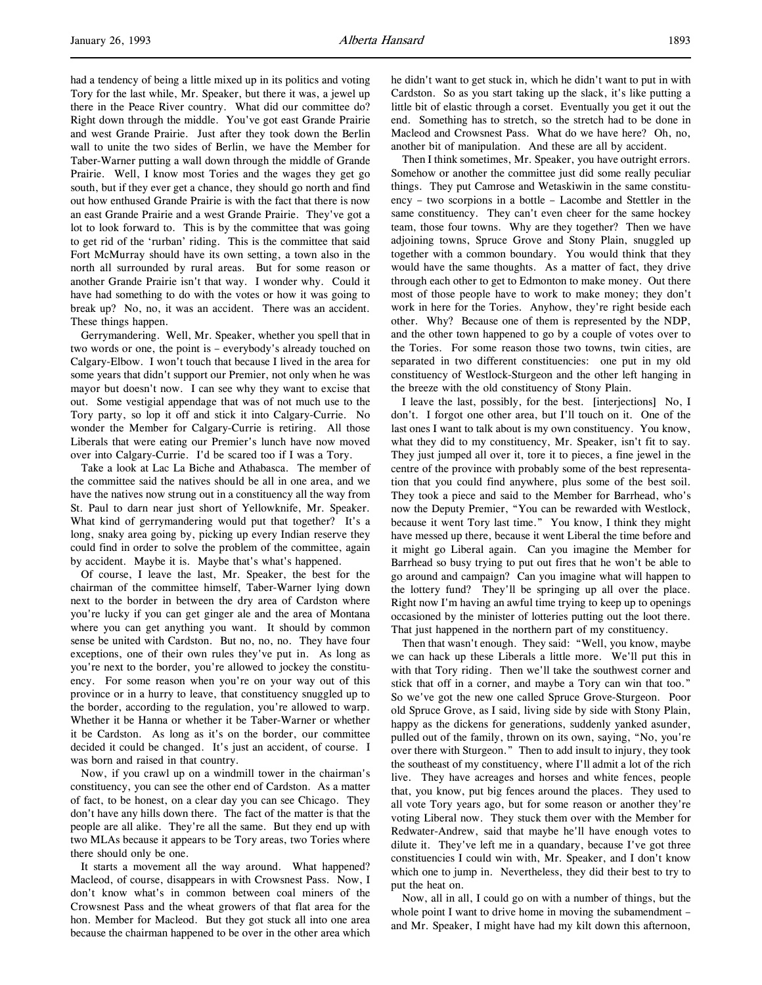had a tendency of being a little mixed up in its politics and voting Tory for the last while, Mr. Speaker, but there it was, a jewel up there in the Peace River country. What did our committee do? Right down through the middle. You've got east Grande Prairie and west Grande Prairie. Just after they took down the Berlin wall to unite the two sides of Berlin, we have the Member for Taber-Warner putting a wall down through the middle of Grande Prairie. Well, I know most Tories and the wages they get go south, but if they ever get a chance, they should go north and find out how enthused Grande Prairie is with the fact that there is now an east Grande Prairie and a west Grande Prairie. They've got a lot to look forward to. This is by the committee that was going to get rid of the 'rurban' riding. This is the committee that said Fort McMurray should have its own setting, a town also in the north all surrounded by rural areas. But for some reason or another Grande Prairie isn't that way. I wonder why. Could it have had something to do with the votes or how it was going to break up? No, no, it was an accident. There was an accident. These things happen.

Gerrymandering. Well, Mr. Speaker, whether you spell that in two words or one, the point is – everybody's already touched on Calgary-Elbow. I won't touch that because I lived in the area for some years that didn't support our Premier, not only when he was mayor but doesn't now. I can see why they want to excise that out. Some vestigial appendage that was of not much use to the Tory party, so lop it off and stick it into Calgary-Currie. No wonder the Member for Calgary-Currie is retiring. All those Liberals that were eating our Premier's lunch have now moved over into Calgary-Currie. I'd be scared too if I was a Tory.

Take a look at Lac La Biche and Athabasca. The member of the committee said the natives should be all in one area, and we have the natives now strung out in a constituency all the way from St. Paul to darn near just short of Yellowknife, Mr. Speaker. What kind of gerrymandering would put that together? It's a long, snaky area going by, picking up every Indian reserve they could find in order to solve the problem of the committee, again by accident. Maybe it is. Maybe that's what's happened.

Of course, I leave the last, Mr. Speaker, the best for the chairman of the committee himself, Taber-Warner lying down next to the border in between the dry area of Cardston where you're lucky if you can get ginger ale and the area of Montana where you can get anything you want. It should by common sense be united with Cardston. But no, no, no. They have four exceptions, one of their own rules they've put in. As long as you're next to the border, you're allowed to jockey the constituency. For some reason when you're on your way out of this province or in a hurry to leave, that constituency snuggled up to the border, according to the regulation, you're allowed to warp. Whether it be Hanna or whether it be Taber-Warner or whether it be Cardston. As long as it's on the border, our committee decided it could be changed. It's just an accident, of course. I was born and raised in that country.

Now, if you crawl up on a windmill tower in the chairman's constituency, you can see the other end of Cardston. As a matter of fact, to be honest, on a clear day you can see Chicago. They don't have any hills down there. The fact of the matter is that the people are all alike. They're all the same. But they end up with two MLAs because it appears to be Tory areas, two Tories where there should only be one.

It starts a movement all the way around. What happened? Macleod, of course, disappears in with Crowsnest Pass. Now, I don't know what's in common between coal miners of the Crowsnest Pass and the wheat growers of that flat area for the hon. Member for Macleod. But they got stuck all into one area because the chairman happened to be over in the other area which

he didn't want to get stuck in, which he didn't want to put in with Cardston. So as you start taking up the slack, it's like putting a little bit of elastic through a corset. Eventually you get it out the end. Something has to stretch, so the stretch had to be done in Macleod and Crowsnest Pass. What do we have here? Oh, no, another bit of manipulation. And these are all by accident.

Then I think sometimes, Mr. Speaker, you have outright errors. Somehow or another the committee just did some really peculiar things. They put Camrose and Wetaskiwin in the same constituency – two scorpions in a bottle – Lacombe and Stettler in the same constituency. They can't even cheer for the same hockey team, those four towns. Why are they together? Then we have adjoining towns, Spruce Grove and Stony Plain, snuggled up together with a common boundary. You would think that they would have the same thoughts. As a matter of fact, they drive through each other to get to Edmonton to make money. Out there most of those people have to work to make money; they don't work in here for the Tories. Anyhow, they're right beside each other. Why? Because one of them is represented by the NDP, and the other town happened to go by a couple of votes over to the Tories. For some reason those two towns, twin cities, are separated in two different constituencies: one put in my old constituency of Westlock-Sturgeon and the other left hanging in the breeze with the old constituency of Stony Plain.

I leave the last, possibly, for the best. [interjections] No, I don't. I forgot one other area, but I'll touch on it. One of the last ones I want to talk about is my own constituency. You know, what they did to my constituency, Mr. Speaker, isn't fit to say. They just jumped all over it, tore it to pieces, a fine jewel in the centre of the province with probably some of the best representation that you could find anywhere, plus some of the best soil. They took a piece and said to the Member for Barrhead, who's now the Deputy Premier, "You can be rewarded with Westlock, because it went Tory last time." You know, I think they might have messed up there, because it went Liberal the time before and it might go Liberal again. Can you imagine the Member for Barrhead so busy trying to put out fires that he won't be able to go around and campaign? Can you imagine what will happen to the lottery fund? They'll be springing up all over the place. Right now I'm having an awful time trying to keep up to openings occasioned by the minister of lotteries putting out the loot there. That just happened in the northern part of my constituency.

Then that wasn't enough. They said: "Well, you know, maybe we can hack up these Liberals a little more. We'll put this in with that Tory riding. Then we'll take the southwest corner and stick that off in a corner, and maybe a Tory can win that too." So we've got the new one called Spruce Grove-Sturgeon. Poor old Spruce Grove, as I said, living side by side with Stony Plain, happy as the dickens for generations, suddenly yanked asunder, pulled out of the family, thrown on its own, saying, "No, you're over there with Sturgeon." Then to add insult to injury, they took the southeast of my constituency, where I'll admit a lot of the rich live. They have acreages and horses and white fences, people that, you know, put big fences around the places. They used to all vote Tory years ago, but for some reason or another they're voting Liberal now. They stuck them over with the Member for Redwater-Andrew, said that maybe he'll have enough votes to dilute it. They've left me in a quandary, because I've got three constituencies I could win with, Mr. Speaker, and I don't know which one to jump in. Nevertheless, they did their best to try to put the heat on.

Now, all in all, I could go on with a number of things, but the whole point I want to drive home in moving the subamendment – and Mr. Speaker, I might have had my kilt down this afternoon,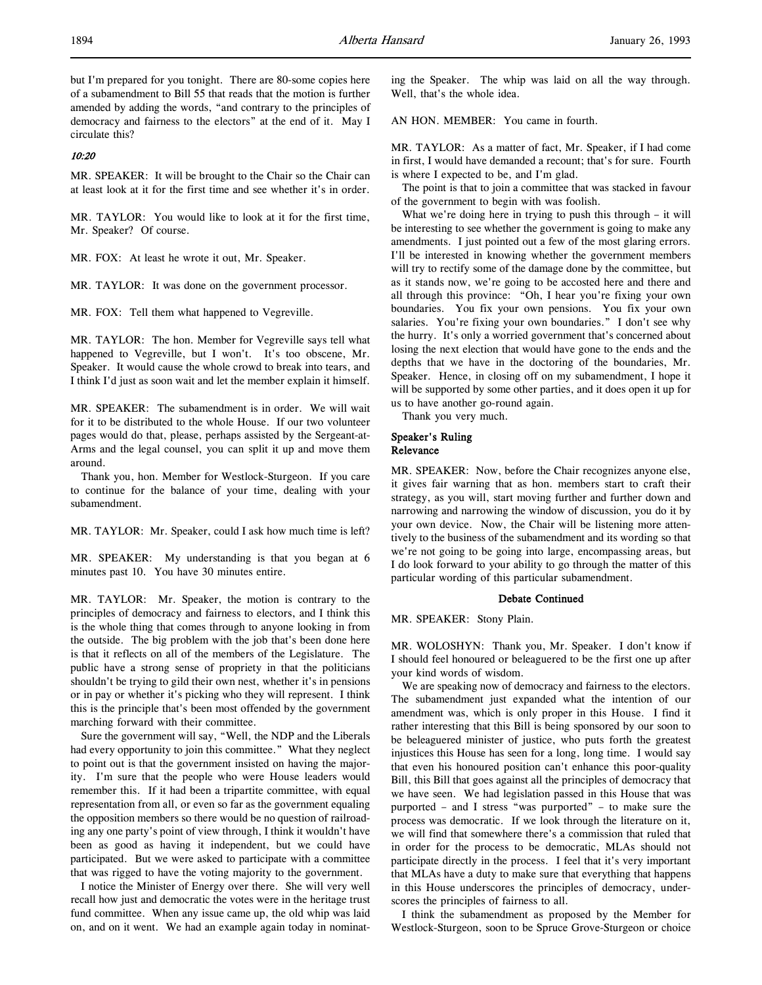but I'm prepared for you tonight. There are 80-some copies here of a subamendment to Bill 55 that reads that the motion is further amended by adding the words, "and contrary to the principles of democracy and fairness to the electors" at the end of it. May I circulate this?

## 10:20

MR. SPEAKER: It will be brought to the Chair so the Chair can at least look at it for the first time and see whether it's in order.

MR. TAYLOR: You would like to look at it for the first time, Mr. Speaker? Of course.

MR. FOX: At least he wrote it out, Mr. Speaker.

MR. TAYLOR: It was done on the government processor.

MR. FOX: Tell them what happened to Vegreville.

MR. TAYLOR: The hon. Member for Vegreville says tell what happened to Vegreville, but I won't. It's too obscene, Mr. Speaker. It would cause the whole crowd to break into tears, and I think I'd just as soon wait and let the member explain it himself.

MR. SPEAKER: The subamendment is in order. We will wait for it to be distributed to the whole House. If our two volunteer pages would do that, please, perhaps assisted by the Sergeant-at-Arms and the legal counsel, you can split it up and move them around.

Thank you, hon. Member for Westlock-Sturgeon. If you care to continue for the balance of your time, dealing with your subamendment.

MR. TAYLOR: Mr. Speaker, could I ask how much time is left?

MR. SPEAKER: My understanding is that you began at 6 minutes past 10. You have 30 minutes entire.

MR. TAYLOR: Mr. Speaker, the motion is contrary to the principles of democracy and fairness to electors, and I think this is the whole thing that comes through to anyone looking in from the outside. The big problem with the job that's been done here is that it reflects on all of the members of the Legislature. The public have a strong sense of propriety in that the politicians shouldn't be trying to gild their own nest, whether it's in pensions or in pay or whether it's picking who they will represent. I think this is the principle that's been most offended by the government marching forward with their committee.

Sure the government will say, "Well, the NDP and the Liberals had every opportunity to join this committee." What they neglect to point out is that the government insisted on having the majority. I'm sure that the people who were House leaders would remember this. If it had been a tripartite committee, with equal representation from all, or even so far as the government equaling the opposition members so there would be no question of railroading any one party's point of view through, I think it wouldn't have been as good as having it independent, but we could have participated. But we were asked to participate with a committee that was rigged to have the voting majority to the government.

I notice the Minister of Energy over there. She will very well recall how just and democratic the votes were in the heritage trust fund committee. When any issue came up, the old whip was laid on, and on it went. We had an example again today in nominating the Speaker. The whip was laid on all the way through. Well, that's the whole idea.

AN HON. MEMBER: You came in fourth.

MR. TAYLOR: As a matter of fact, Mr. Speaker, if I had come in first, I would have demanded a recount; that's for sure. Fourth is where I expected to be, and I'm glad.

The point is that to join a committee that was stacked in favour of the government to begin with was foolish.

What we're doing here in trying to push this through – it will be interesting to see whether the government is going to make any amendments. I just pointed out a few of the most glaring errors. I'll be interested in knowing whether the government members will try to rectify some of the damage done by the committee, but as it stands now, we're going to be accosted here and there and all through this province: "Oh, I hear you're fixing your own boundaries. You fix your own pensions. You fix your own salaries. You're fixing your own boundaries." I don't see why the hurry. It's only a worried government that's concerned about losing the next election that would have gone to the ends and the depths that we have in the doctoring of the boundaries, Mr. Speaker. Hence, in closing off on my subamendment, I hope it will be supported by some other parties, and it does open it up for us to have another go-round again.

Thank you very much.

#### Speaker's Ruling Relevance

MR. SPEAKER: Now, before the Chair recognizes anyone else, it gives fair warning that as hon. members start to craft their strategy, as you will, start moving further and further down and narrowing and narrowing the window of discussion, you do it by your own device. Now, the Chair will be listening more attentively to the business of the subamendment and its wording so that we're not going to be going into large, encompassing areas, but I do look forward to your ability to go through the matter of this particular wording of this particular subamendment.

#### Debate Continued

MR. SPEAKER: Stony Plain.

MR. WOLOSHYN: Thank you, Mr. Speaker. I don't know if I should feel honoured or beleaguered to be the first one up after your kind words of wisdom.

We are speaking now of democracy and fairness to the electors. The subamendment just expanded what the intention of our amendment was, which is only proper in this House. I find it rather interesting that this Bill is being sponsored by our soon to be beleaguered minister of justice, who puts forth the greatest injustices this House has seen for a long, long time. I would say that even his honoured position can't enhance this poor-quality Bill, this Bill that goes against all the principles of democracy that we have seen. We had legislation passed in this House that was purported – and I stress "was purported" – to make sure the process was democratic. If we look through the literature on it, we will find that somewhere there's a commission that ruled that in order for the process to be democratic, MLAs should not participate directly in the process. I feel that it's very important that MLAs have a duty to make sure that everything that happens in this House underscores the principles of democracy, underscores the principles of fairness to all.

I think the subamendment as proposed by the Member for Westlock-Sturgeon, soon to be Spruce Grove-Sturgeon or choice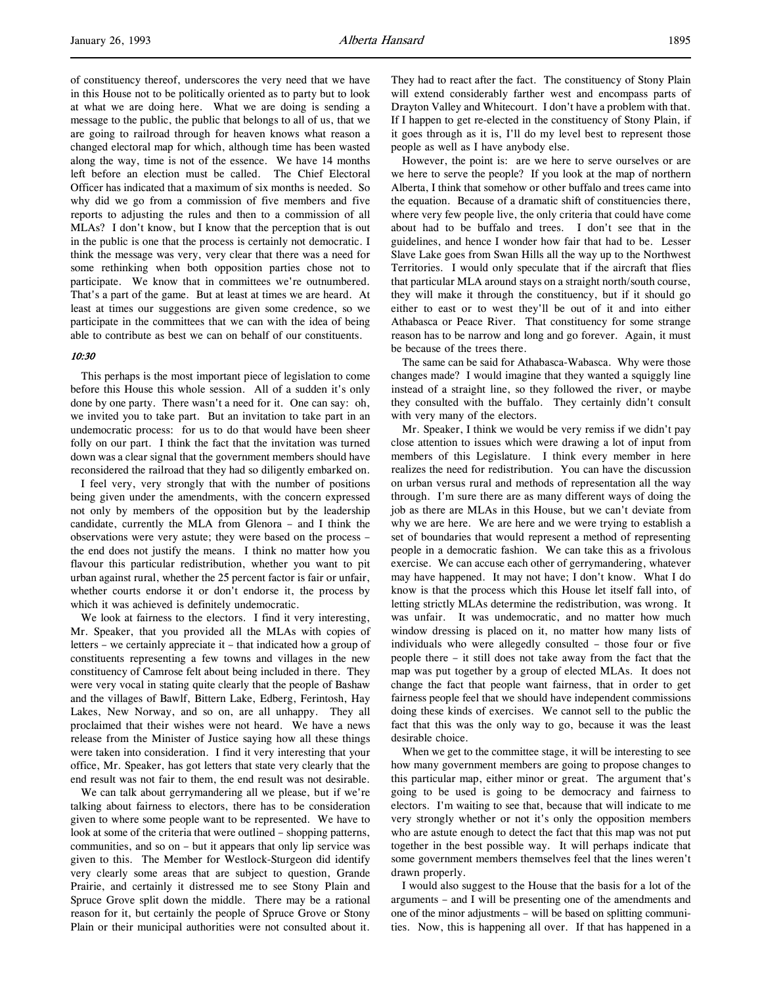of constituency thereof, underscores the very need that we have in this House not to be politically oriented as to party but to look at what we are doing here. What we are doing is sending a message to the public, the public that belongs to all of us, that we are going to railroad through for heaven knows what reason a changed electoral map for which, although time has been wasted along the way, time is not of the essence. We have 14 months left before an election must be called. The Chief Electoral Officer has indicated that a maximum of six months is needed. So why did we go from a commission of five members and five reports to adjusting the rules and then to a commission of all MLAs? I don't know, but I know that the perception that is out in the public is one that the process is certainly not democratic. I think the message was very, very clear that there was a need for some rethinking when both opposition parties chose not to participate. We know that in committees we're outnumbered. That's a part of the game. But at least at times we are heard. At least at times our suggestions are given some credence, so we participate in the committees that we can with the idea of being able to contribute as best we can on behalf of our constituents.

## 10:30

This perhaps is the most important piece of legislation to come before this House this whole session. All of a sudden it's only done by one party. There wasn't a need for it. One can say: oh, we invited you to take part. But an invitation to take part in an undemocratic process: for us to do that would have been sheer folly on our part. I think the fact that the invitation was turned down was a clear signal that the government members should have reconsidered the railroad that they had so diligently embarked on.

I feel very, very strongly that with the number of positions being given under the amendments, with the concern expressed not only by members of the opposition but by the leadership candidate, currently the MLA from Glenora – and I think the observations were very astute; they were based on the process – the end does not justify the means. I think no matter how you flavour this particular redistribution, whether you want to pit urban against rural, whether the 25 percent factor is fair or unfair, whether courts endorse it or don't endorse it, the process by which it was achieved is definitely undemocratic.

We look at fairness to the electors. I find it very interesting, Mr. Speaker, that you provided all the MLAs with copies of letters – we certainly appreciate it – that indicated how a group of constituents representing a few towns and villages in the new constituency of Camrose felt about being included in there. They were very vocal in stating quite clearly that the people of Bashaw and the villages of Bawlf, Bittern Lake, Edberg, Ferintosh, Hay Lakes, New Norway, and so on, are all unhappy. They all proclaimed that their wishes were not heard. We have a news release from the Minister of Justice saying how all these things were taken into consideration. I find it very interesting that your office, Mr. Speaker, has got letters that state very clearly that the end result was not fair to them, the end result was not desirable.

We can talk about gerrymandering all we please, but if we're talking about fairness to electors, there has to be consideration given to where some people want to be represented. We have to look at some of the criteria that were outlined – shopping patterns, communities, and so on – but it appears that only lip service was given to this. The Member for Westlock-Sturgeon did identify very clearly some areas that are subject to question, Grande Prairie, and certainly it distressed me to see Stony Plain and Spruce Grove split down the middle. There may be a rational reason for it, but certainly the people of Spruce Grove or Stony Plain or their municipal authorities were not consulted about it.

They had to react after the fact. The constituency of Stony Plain will extend considerably farther west and encompass parts of Drayton Valley and Whitecourt. I don't have a problem with that. If I happen to get re-elected in the constituency of Stony Plain, if it goes through as it is, I'll do my level best to represent those people as well as I have anybody else.

However, the point is: are we here to serve ourselves or are we here to serve the people? If you look at the map of northern Alberta, I think that somehow or other buffalo and trees came into the equation. Because of a dramatic shift of constituencies there, where very few people live, the only criteria that could have come about had to be buffalo and trees. I don't see that in the guidelines, and hence I wonder how fair that had to be. Lesser Slave Lake goes from Swan Hills all the way up to the Northwest Territories. I would only speculate that if the aircraft that flies that particular MLA around stays on a straight north/south course, they will make it through the constituency, but if it should go either to east or to west they'll be out of it and into either Athabasca or Peace River. That constituency for some strange reason has to be narrow and long and go forever. Again, it must be because of the trees there.

The same can be said for Athabasca-Wabasca. Why were those changes made? I would imagine that they wanted a squiggly line instead of a straight line, so they followed the river, or maybe they consulted with the buffalo. They certainly didn't consult with very many of the electors.

Mr. Speaker, I think we would be very remiss if we didn't pay close attention to issues which were drawing a lot of input from members of this Legislature. I think every member in here realizes the need for redistribution. You can have the discussion on urban versus rural and methods of representation all the way through. I'm sure there are as many different ways of doing the job as there are MLAs in this House, but we can't deviate from why we are here. We are here and we were trying to establish a set of boundaries that would represent a method of representing people in a democratic fashion. We can take this as a frivolous exercise. We can accuse each other of gerrymandering, whatever may have happened. It may not have; I don't know. What I do know is that the process which this House let itself fall into, of letting strictly MLAs determine the redistribution, was wrong. It was unfair. It was undemocratic, and no matter how much window dressing is placed on it, no matter how many lists of individuals who were allegedly consulted – those four or five people there – it still does not take away from the fact that the map was put together by a group of elected MLAs. It does not change the fact that people want fairness, that in order to get fairness people feel that we should have independent commissions doing these kinds of exercises. We cannot sell to the public the fact that this was the only way to go, because it was the least desirable choice.

When we get to the committee stage, it will be interesting to see how many government members are going to propose changes to this particular map, either minor or great. The argument that's going to be used is going to be democracy and fairness to electors. I'm waiting to see that, because that will indicate to me very strongly whether or not it's only the opposition members who are astute enough to detect the fact that this map was not put together in the best possible way. It will perhaps indicate that some government members themselves feel that the lines weren't drawn properly.

I would also suggest to the House that the basis for a lot of the arguments – and I will be presenting one of the amendments and one of the minor adjustments – will be based on splitting communities. Now, this is happening all over. If that has happened in a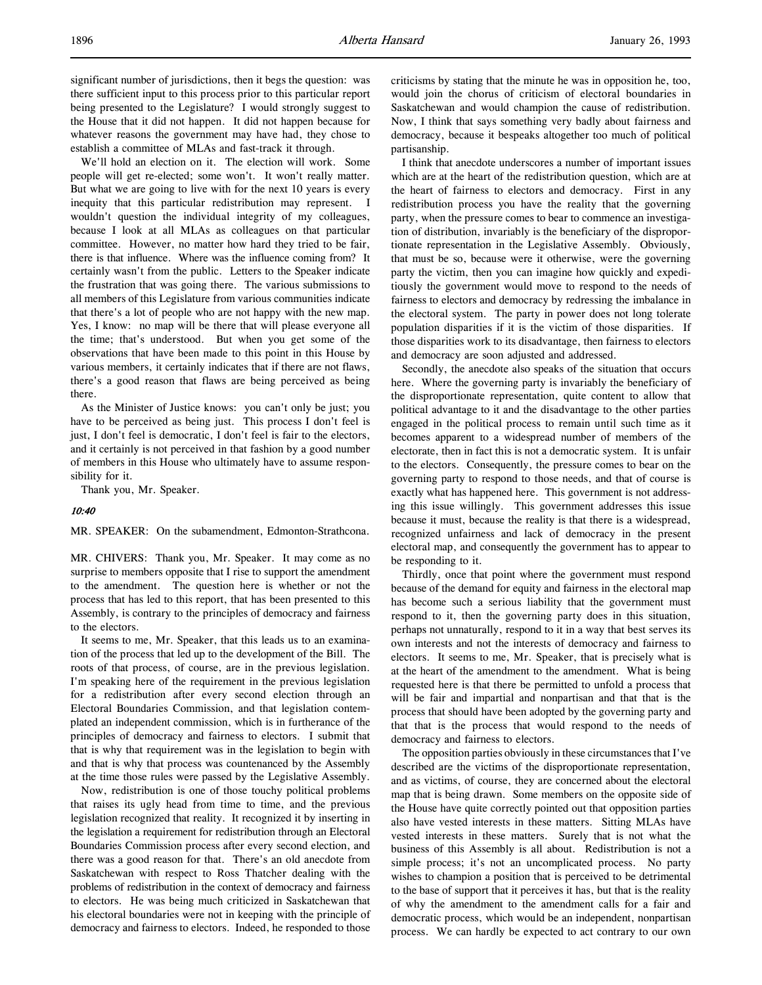significant number of jurisdictions, then it begs the question: was there sufficient input to this process prior to this particular report being presented to the Legislature? I would strongly suggest to the House that it did not happen. It did not happen because for whatever reasons the government may have had, they chose to establish a committee of MLAs and fast-track it through.

We'll hold an election on it. The election will work. Some people will get re-elected; some won't. It won't really matter. But what we are going to live with for the next 10 years is every inequity that this particular redistribution may represent. I wouldn't question the individual integrity of my colleagues, because I look at all MLAs as colleagues on that particular committee. However, no matter how hard they tried to be fair, there is that influence. Where was the influence coming from? It certainly wasn't from the public. Letters to the Speaker indicate the frustration that was going there. The various submissions to all members of this Legislature from various communities indicate that there's a lot of people who are not happy with the new map. Yes, I know: no map will be there that will please everyone all the time; that's understood. But when you get some of the observations that have been made to this point in this House by various members, it certainly indicates that if there are not flaws, there's a good reason that flaws are being perceived as being there.

As the Minister of Justice knows: you can't only be just; you have to be perceived as being just. This process I don't feel is just, I don't feel is democratic, I don't feel is fair to the electors, and it certainly is not perceived in that fashion by a good number of members in this House who ultimately have to assume responsibility for it.

Thank you, Mr. Speaker.

### 10:40

## MR. SPEAKER: On the subamendment, Edmonton-Strathcona.

MR. CHIVERS: Thank you, Mr. Speaker. It may come as no surprise to members opposite that I rise to support the amendment to the amendment. The question here is whether or not the process that has led to this report, that has been presented to this Assembly, is contrary to the principles of democracy and fairness to the electors.

It seems to me, Mr. Speaker, that this leads us to an examination of the process that led up to the development of the Bill. The roots of that process, of course, are in the previous legislation. I'm speaking here of the requirement in the previous legislation for a redistribution after every second election through an Electoral Boundaries Commission, and that legislation contemplated an independent commission, which is in furtherance of the principles of democracy and fairness to electors. I submit that that is why that requirement was in the legislation to begin with and that is why that process was countenanced by the Assembly at the time those rules were passed by the Legislative Assembly.

Now, redistribution is one of those touchy political problems that raises its ugly head from time to time, and the previous legislation recognized that reality. It recognized it by inserting in the legislation a requirement for redistribution through an Electoral Boundaries Commission process after every second election, and there was a good reason for that. There's an old anecdote from Saskatchewan with respect to Ross Thatcher dealing with the problems of redistribution in the context of democracy and fairness to electors. He was being much criticized in Saskatchewan that his electoral boundaries were not in keeping with the principle of democracy and fairness to electors. Indeed, he responded to those

criticisms by stating that the minute he was in opposition he, too, would join the chorus of criticism of electoral boundaries in Saskatchewan and would champion the cause of redistribution. Now, I think that says something very badly about fairness and democracy, because it bespeaks altogether too much of political partisanship.

I think that anecdote underscores a number of important issues which are at the heart of the redistribution question, which are at the heart of fairness to electors and democracy. First in any redistribution process you have the reality that the governing party, when the pressure comes to bear to commence an investigation of distribution, invariably is the beneficiary of the disproportionate representation in the Legislative Assembly. Obviously, that must be so, because were it otherwise, were the governing party the victim, then you can imagine how quickly and expeditiously the government would move to respond to the needs of fairness to electors and democracy by redressing the imbalance in the electoral system. The party in power does not long tolerate population disparities if it is the victim of those disparities. If those disparities work to its disadvantage, then fairness to electors and democracy are soon adjusted and addressed.

Secondly, the anecdote also speaks of the situation that occurs here. Where the governing party is invariably the beneficiary of the disproportionate representation, quite content to allow that political advantage to it and the disadvantage to the other parties engaged in the political process to remain until such time as it becomes apparent to a widespread number of members of the electorate, then in fact this is not a democratic system. It is unfair to the electors. Consequently, the pressure comes to bear on the governing party to respond to those needs, and that of course is exactly what has happened here. This government is not addressing this issue willingly. This government addresses this issue because it must, because the reality is that there is a widespread, recognized unfairness and lack of democracy in the present electoral map, and consequently the government has to appear to be responding to it.

Thirdly, once that point where the government must respond because of the demand for equity and fairness in the electoral map has become such a serious liability that the government must respond to it, then the governing party does in this situation, perhaps not unnaturally, respond to it in a way that best serves its own interests and not the interests of democracy and fairness to electors. It seems to me, Mr. Speaker, that is precisely what is at the heart of the amendment to the amendment. What is being requested here is that there be permitted to unfold a process that will be fair and impartial and nonpartisan and that that is the process that should have been adopted by the governing party and that that is the process that would respond to the needs of democracy and fairness to electors.

The opposition parties obviously in these circumstances that I've described are the victims of the disproportionate representation, and as victims, of course, they are concerned about the electoral map that is being drawn. Some members on the opposite side of the House have quite correctly pointed out that opposition parties also have vested interests in these matters. Sitting MLAs have vested interests in these matters. Surely that is not what the business of this Assembly is all about. Redistribution is not a simple process; it's not an uncomplicated process. No party wishes to champion a position that is perceived to be detrimental to the base of support that it perceives it has, but that is the reality of why the amendment to the amendment calls for a fair and democratic process, which would be an independent, nonpartisan process. We can hardly be expected to act contrary to our own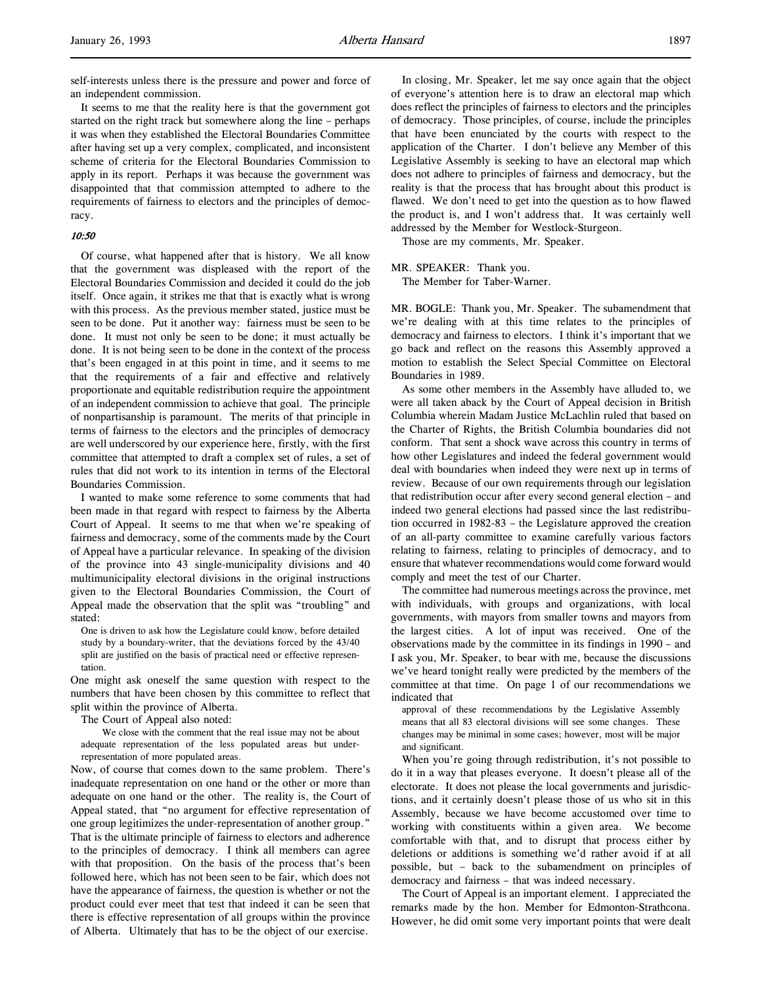self-interests unless there is the pressure and power and force of an independent commission.

It seems to me that the reality here is that the government got started on the right track but somewhere along the line – perhaps it was when they established the Electoral Boundaries Committee after having set up a very complex, complicated, and inconsistent scheme of criteria for the Electoral Boundaries Commission to apply in its report. Perhaps it was because the government was disappointed that that commission attempted to adhere to the requirements of fairness to electors and the principles of democracy.

#### 10:50

Of course, what happened after that is history. We all know that the government was displeased with the report of the Electoral Boundaries Commission and decided it could do the job itself. Once again, it strikes me that that is exactly what is wrong with this process. As the previous member stated, justice must be seen to be done. Put it another way: fairness must be seen to be done. It must not only be seen to be done; it must actually be done. It is not being seen to be done in the context of the process that's been engaged in at this point in time, and it seems to me that the requirements of a fair and effective and relatively proportionate and equitable redistribution require the appointment of an independent commission to achieve that goal. The principle of nonpartisanship is paramount. The merits of that principle in terms of fairness to the electors and the principles of democracy are well underscored by our experience here, firstly, with the first committee that attempted to draft a complex set of rules, a set of rules that did not work to its intention in terms of the Electoral Boundaries Commission.

I wanted to make some reference to some comments that had been made in that regard with respect to fairness by the Alberta Court of Appeal. It seems to me that when we're speaking of fairness and democracy, some of the comments made by the Court of Appeal have a particular relevance. In speaking of the division of the province into 43 single-municipality divisions and 40 multimunicipality electoral divisions in the original instructions given to the Electoral Boundaries Commission, the Court of Appeal made the observation that the split was "troubling" and stated:

One is driven to ask how the Legislature could know, before detailed study by a boundary-writer, that the deviations forced by the 43/40 split are justified on the basis of practical need or effective representation.

One might ask oneself the same question with respect to the numbers that have been chosen by this committee to reflect that split within the province of Alberta.

The Court of Appeal also noted:

We close with the comment that the real issue may not be about adequate representation of the less populated areas but underrepresentation of more populated areas.

Now, of course that comes down to the same problem. There's inadequate representation on one hand or the other or more than adequate on one hand or the other. The reality is, the Court of Appeal stated, that "no argument for effective representation of one group legitimizes the under-representation of another group." That is the ultimate principle of fairness to electors and adherence to the principles of democracy. I think all members can agree with that proposition. On the basis of the process that's been followed here, which has not been seen to be fair, which does not have the appearance of fairness, the question is whether or not the product could ever meet that test that indeed it can be seen that there is effective representation of all groups within the province of Alberta. Ultimately that has to be the object of our exercise.

In closing, Mr. Speaker, let me say once again that the object of everyone's attention here is to draw an electoral map which does reflect the principles of fairness to electors and the principles of democracy. Those principles, of course, include the principles that have been enunciated by the courts with respect to the application of the Charter. I don't believe any Member of this Legislative Assembly is seeking to have an electoral map which does not adhere to principles of fairness and democracy, but the reality is that the process that has brought about this product is flawed. We don't need to get into the question as to how flawed the product is, and I won't address that. It was certainly well addressed by the Member for Westlock-Sturgeon.

Those are my comments, Mr. Speaker.

#### MR. SPEAKER: Thank you.

The Member for Taber-Warner.

MR. BOGLE: Thank you, Mr. Speaker. The subamendment that we're dealing with at this time relates to the principles of democracy and fairness to electors. I think it's important that we go back and reflect on the reasons this Assembly approved a motion to establish the Select Special Committee on Electoral Boundaries in 1989.

As some other members in the Assembly have alluded to, we were all taken aback by the Court of Appeal decision in British Columbia wherein Madam Justice McLachlin ruled that based on the Charter of Rights, the British Columbia boundaries did not conform. That sent a shock wave across this country in terms of how other Legislatures and indeed the federal government would deal with boundaries when indeed they were next up in terms of review. Because of our own requirements through our legislation that redistribution occur after every second general election – and indeed two general elections had passed since the last redistribution occurred in 1982-83 – the Legislature approved the creation of an all-party committee to examine carefully various factors relating to fairness, relating to principles of democracy, and to ensure that whatever recommendations would come forward would comply and meet the test of our Charter.

The committee had numerous meetings across the province, met with individuals, with groups and organizations, with local governments, with mayors from smaller towns and mayors from the largest cities. A lot of input was received. One of the observations made by the committee in its findings in 1990 – and I ask you, Mr. Speaker, to bear with me, because the discussions we've heard tonight really were predicted by the members of the committee at that time. On page 1 of our recommendations we indicated that

approval of these recommendations by the Legislative Assembly means that all 83 electoral divisions will see some changes. These changes may be minimal in some cases; however, most will be major and significant.

When you're going through redistribution, it's not possible to do it in a way that pleases everyone. It doesn't please all of the electorate. It does not please the local governments and jurisdictions, and it certainly doesn't please those of us who sit in this Assembly, because we have become accustomed over time to working with constituents within a given area. We become comfortable with that, and to disrupt that process either by deletions or additions is something we'd rather avoid if at all possible, but – back to the subamendment on principles of democracy and fairness – that was indeed necessary.

The Court of Appeal is an important element. I appreciated the remarks made by the hon. Member for Edmonton-Strathcona. However, he did omit some very important points that were dealt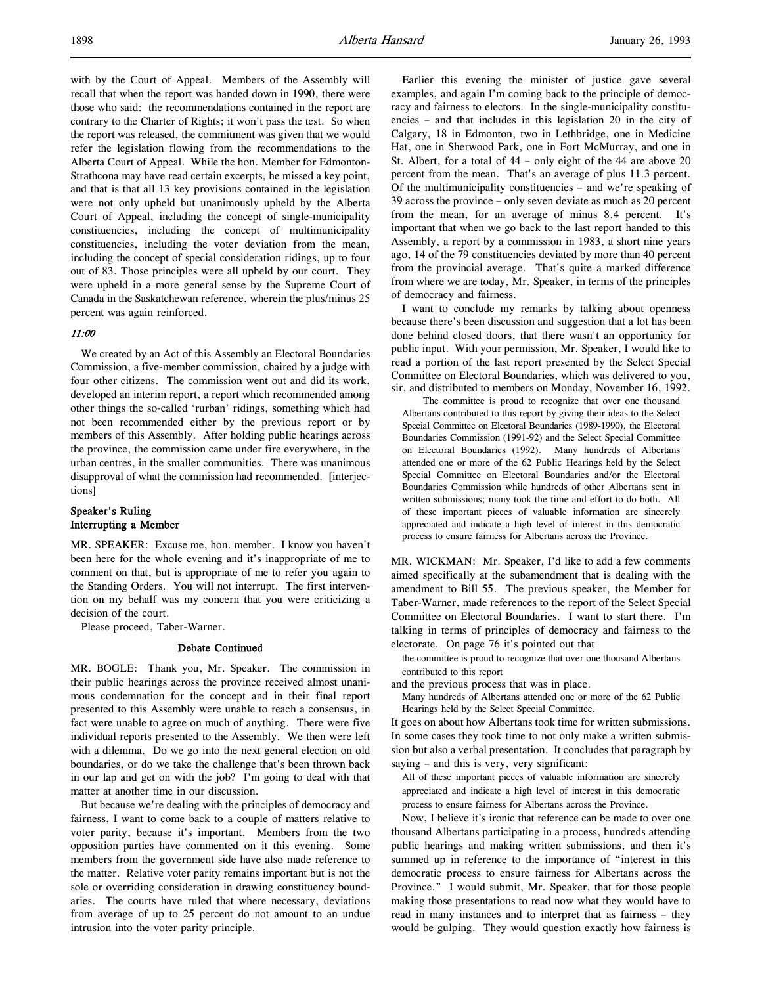with by the Court of Appeal. Members of the Assembly will recall that when the report was handed down in 1990, there were those who said: the recommendations contained in the report are contrary to the Charter of Rights; it won't pass the test. So when the report was released, the commitment was given that we would refer the legislation flowing from the recommendations to the Alberta Court of Appeal. While the hon. Member for Edmonton-Strathcona may have read certain excerpts, he missed a key point, and that is that all 13 key provisions contained in the legislation were not only upheld but unanimously upheld by the Alberta Court of Appeal, including the concept of single-municipality constituencies, including the concept of multimunicipality constituencies, including the voter deviation from the mean, including the concept of special consideration ridings, up to four out of 83. Those principles were all upheld by our court. They were upheld in a more general sense by the Supreme Court of Canada in the Saskatchewan reference, wherein the plus/minus 25 percent was again reinforced.

### 11:00

We created by an Act of this Assembly an Electoral Boundaries Commission, a five-member commission, chaired by a judge with four other citizens. The commission went out and did its work, developed an interim report, a report which recommended among other things the so-called 'rurban' ridings, something which had not been recommended either by the previous report or by members of this Assembly. After holding public hearings across the province, the commission came under fire everywhere, in the urban centres, in the smaller communities. There was unanimous disapproval of what the commission had recommended. [interjections]

## Speaker's Ruling Interrupting a Member

MR. SPEAKER: Excuse me, hon. member. I know you haven't been here for the whole evening and it's inappropriate of me to comment on that, but is appropriate of me to refer you again to the Standing Orders. You will not interrupt. The first intervention on my behalf was my concern that you were criticizing a decision of the court.

Please proceed, Taber-Warner.

#### Debate Continued

MR. BOGLE: Thank you, Mr. Speaker. The commission in their public hearings across the province received almost unanimous condemnation for the concept and in their final report presented to this Assembly were unable to reach a consensus, in fact were unable to agree on much of anything. There were five individual reports presented to the Assembly. We then were left with a dilemma. Do we go into the next general election on old boundaries, or do we take the challenge that's been thrown back in our lap and get on with the job? I'm going to deal with that matter at another time in our discussion.

But because we're dealing with the principles of democracy and fairness, I want to come back to a couple of matters relative to voter parity, because it's important. Members from the two opposition parties have commented on it this evening. Some members from the government side have also made reference to the matter. Relative voter parity remains important but is not the sole or overriding consideration in drawing constituency boundaries. The courts have ruled that where necessary, deviations from average of up to 25 percent do not amount to an undue intrusion into the voter parity principle.

Earlier this evening the minister of justice gave several examples, and again I'm coming back to the principle of democracy and fairness to electors. In the single-municipality constituencies – and that includes in this legislation 20 in the city of Calgary, 18 in Edmonton, two in Lethbridge, one in Medicine Hat, one in Sherwood Park, one in Fort McMurray, and one in St. Albert, for a total of 44 – only eight of the 44 are above 20 percent from the mean. That's an average of plus 11.3 percent. Of the multimunicipality constituencies – and we're speaking of 39 across the province – only seven deviate as much as 20 percent from the mean, for an average of minus 8.4 percent. It's important that when we go back to the last report handed to this Assembly, a report by a commission in 1983, a short nine years ago, 14 of the 79 constituencies deviated by more than 40 percent from the provincial average. That's quite a marked difference from where we are today, Mr. Speaker, in terms of the principles of democracy and fairness.

I want to conclude my remarks by talking about openness because there's been discussion and suggestion that a lot has been done behind closed doors, that there wasn't an opportunity for public input. With your permission, Mr. Speaker, I would like to read a portion of the last report presented by the Select Special Committee on Electoral Boundaries, which was delivered to you, sir, and distributed to members on Monday, November 16, 1992.

The committee is proud to recognize that over one thousand Albertans contributed to this report by giving their ideas to the Select Special Committee on Electoral Boundaries (1989-1990), the Electoral Boundaries Commission (1991-92) and the Select Special Committee on Electoral Boundaries (1992). Many hundreds of Albertans attended one or more of the 62 Public Hearings held by the Select Special Committee on Electoral Boundaries and/or the Electoral Boundaries Commission while hundreds of other Albertans sent in written submissions; many took the time and effort to do both. All of these important pieces of valuable information are sincerely appreciated and indicate a high level of interest in this democratic process to ensure fairness for Albertans across the Province.

MR. WICKMAN: Mr. Speaker, I'd like to add a few comments aimed specifically at the subamendment that is dealing with the amendment to Bill 55. The previous speaker, the Member for Taber-Warner, made references to the report of the Select Special Committee on Electoral Boundaries. I want to start there. I'm talking in terms of principles of democracy and fairness to the electorate. On page 76 it's pointed out that

the committee is proud to recognize that over one thousand Albertans contributed to this report

and the previous process that was in place.

Many hundreds of Albertans attended one or more of the 62 Public Hearings held by the Select Special Committee.

It goes on about how Albertans took time for written submissions. In some cases they took time to not only make a written submission but also a verbal presentation. It concludes that paragraph by saying – and this is very, very significant:

All of these important pieces of valuable information are sincerely appreciated and indicate a high level of interest in this democratic process to ensure fairness for Albertans across the Province.

Now, I believe it's ironic that reference can be made to over one thousand Albertans participating in a process, hundreds attending public hearings and making written submissions, and then it's summed up in reference to the importance of "interest in this democratic process to ensure fairness for Albertans across the Province." I would submit, Mr. Speaker, that for those people making those presentations to read now what they would have to read in many instances and to interpret that as fairness – they would be gulping. They would question exactly how fairness is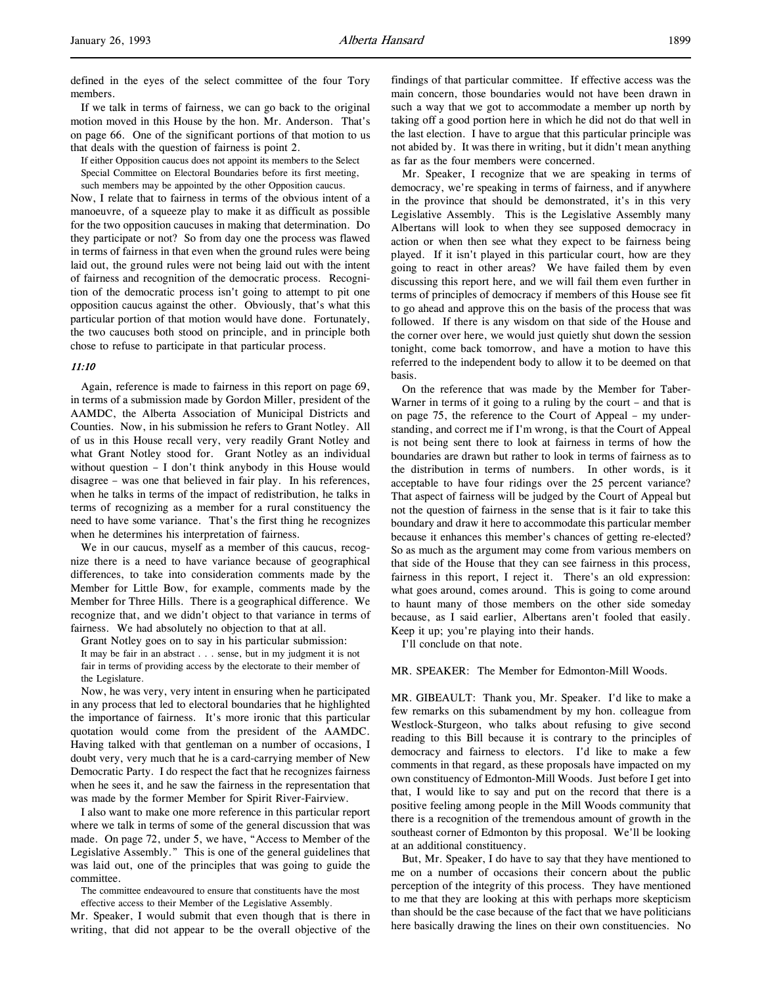defined in the eyes of the select committee of the four Tory members.

If we talk in terms of fairness, we can go back to the original motion moved in this House by the hon. Mr. Anderson. That's on page 66. One of the significant portions of that motion to us that deals with the question of fairness is point 2.

If either Opposition caucus does not appoint its members to the Select Special Committee on Electoral Boundaries before its first meeting, such members may be appointed by the other Opposition caucus.

Now, I relate that to fairness in terms of the obvious intent of a manoeuvre, of a squeeze play to make it as difficult as possible for the two opposition caucuses in making that determination. Do they participate or not? So from day one the process was flawed in terms of fairness in that even when the ground rules were being laid out, the ground rules were not being laid out with the intent of fairness and recognition of the democratic process. Recognition of the democratic process isn't going to attempt to pit one opposition caucus against the other. Obviously, that's what this particular portion of that motion would have done. Fortunately, the two caucuses both stood on principle, and in principle both chose to refuse to participate in that particular process.

### 11:10

Again, reference is made to fairness in this report on page 69, in terms of a submission made by Gordon Miller, president of the AAMDC, the Alberta Association of Municipal Districts and Counties. Now, in his submission he refers to Grant Notley. All of us in this House recall very, very readily Grant Notley and what Grant Notley stood for. Grant Notley as an individual without question – I don't think anybody in this House would disagree – was one that believed in fair play. In his references, when he talks in terms of the impact of redistribution, he talks in terms of recognizing as a member for a rural constituency the need to have some variance. That's the first thing he recognizes when he determines his interpretation of fairness.

We in our caucus, myself as a member of this caucus, recognize there is a need to have variance because of geographical differences, to take into consideration comments made by the Member for Little Bow, for example, comments made by the Member for Three Hills. There is a geographical difference. We recognize that, and we didn't object to that variance in terms of fairness. We had absolutely no objection to that at all.

Grant Notley goes on to say in his particular submission:

It may be fair in an abstract . . . sense, but in my judgment it is not fair in terms of providing access by the electorate to their member of the Legislature.

Now, he was very, very intent in ensuring when he participated in any process that led to electoral boundaries that he highlighted the importance of fairness. It's more ironic that this particular quotation would come from the president of the AAMDC. Having talked with that gentleman on a number of occasions, I doubt very, very much that he is a card-carrying member of New Democratic Party. I do respect the fact that he recognizes fairness when he sees it, and he saw the fairness in the representation that was made by the former Member for Spirit River-Fairview.

I also want to make one more reference in this particular report where we talk in terms of some of the general discussion that was made. On page 72, under 5, we have, "Access to Member of the Legislative Assembly." This is one of the general guidelines that was laid out, one of the principles that was going to guide the committee.

The committee endeavoured to ensure that constituents have the most effective access to their Member of the Legislative Assembly.

Mr. Speaker, I would submit that even though that is there in writing, that did not appear to be the overall objective of the

findings of that particular committee. If effective access was the main concern, those boundaries would not have been drawn in such a way that we got to accommodate a member up north by taking off a good portion here in which he did not do that well in the last election. I have to argue that this particular principle was not abided by. It was there in writing, but it didn't mean anything as far as the four members were concerned.

Mr. Speaker, I recognize that we are speaking in terms of democracy, we're speaking in terms of fairness, and if anywhere in the province that should be demonstrated, it's in this very Legislative Assembly. This is the Legislative Assembly many Albertans will look to when they see supposed democracy in action or when then see what they expect to be fairness being played. If it isn't played in this particular court, how are they going to react in other areas? We have failed them by even discussing this report here, and we will fail them even further in terms of principles of democracy if members of this House see fit to go ahead and approve this on the basis of the process that was followed. If there is any wisdom on that side of the House and the corner over here, we would just quietly shut down the session tonight, come back tomorrow, and have a motion to have this referred to the independent body to allow it to be deemed on that basis.

On the reference that was made by the Member for Taber-Warner in terms of it going to a ruling by the court – and that is on page 75, the reference to the Court of Appeal – my understanding, and correct me if I'm wrong, is that the Court of Appeal is not being sent there to look at fairness in terms of how the boundaries are drawn but rather to look in terms of fairness as to the distribution in terms of numbers. In other words, is it acceptable to have four ridings over the 25 percent variance? That aspect of fairness will be judged by the Court of Appeal but not the question of fairness in the sense that is it fair to take this boundary and draw it here to accommodate this particular member because it enhances this member's chances of getting re-elected? So as much as the argument may come from various members on that side of the House that they can see fairness in this process, fairness in this report, I reject it. There's an old expression: what goes around, comes around. This is going to come around to haunt many of those members on the other side someday because, as I said earlier, Albertans aren't fooled that easily. Keep it up; you're playing into their hands.

I'll conclude on that note.

MR. SPEAKER: The Member for Edmonton-Mill Woods.

MR. GIBEAULT: Thank you, Mr. Speaker. I'd like to make a few remarks on this subamendment by my hon. colleague from Westlock-Sturgeon, who talks about refusing to give second reading to this Bill because it is contrary to the principles of democracy and fairness to electors. I'd like to make a few comments in that regard, as these proposals have impacted on my own constituency of Edmonton-Mill Woods. Just before I get into that, I would like to say and put on the record that there is a positive feeling among people in the Mill Woods community that there is a recognition of the tremendous amount of growth in the southeast corner of Edmonton by this proposal. We'll be looking at an additional constituency.

But, Mr. Speaker, I do have to say that they have mentioned to me on a number of occasions their concern about the public perception of the integrity of this process. They have mentioned to me that they are looking at this with perhaps more skepticism than should be the case because of the fact that we have politicians here basically drawing the lines on their own constituencies. No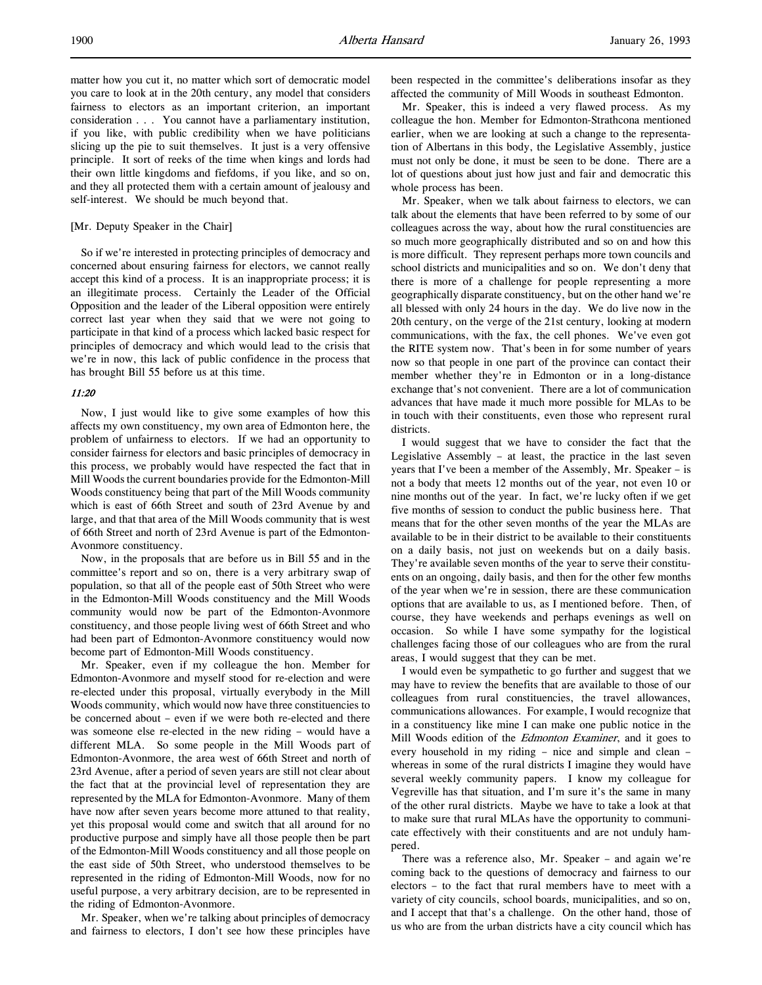matter how you cut it, no matter which sort of democratic model you care to look at in the 20th century, any model that considers fairness to electors as an important criterion, an important consideration . . . You cannot have a parliamentary institution, if you like, with public credibility when we have politicians slicing up the pie to suit themselves. It just is a very offensive principle. It sort of reeks of the time when kings and lords had their own little kingdoms and fiefdoms, if you like, and so on, and they all protected them with a certain amount of jealousy and self-interest. We should be much beyond that.

### [Mr. Deputy Speaker in the Chair]

So if we're interested in protecting principles of democracy and concerned about ensuring fairness for electors, we cannot really accept this kind of a process. It is an inappropriate process; it is an illegitimate process. Certainly the Leader of the Official Opposition and the leader of the Liberal opposition were entirely correct last year when they said that we were not going to participate in that kind of a process which lacked basic respect for principles of democracy and which would lead to the crisis that we're in now, this lack of public confidence in the process that has brought Bill 55 before us at this time.

#### 11:20

Now, I just would like to give some examples of how this affects my own constituency, my own area of Edmonton here, the problem of unfairness to electors. If we had an opportunity to consider fairness for electors and basic principles of democracy in this process, we probably would have respected the fact that in Mill Woods the current boundaries provide for the Edmonton-Mill Woods constituency being that part of the Mill Woods community which is east of 66th Street and south of 23rd Avenue by and large, and that that area of the Mill Woods community that is west of 66th Street and north of 23rd Avenue is part of the Edmonton-Avonmore constituency.

Now, in the proposals that are before us in Bill 55 and in the committee's report and so on, there is a very arbitrary swap of population, so that all of the people east of 50th Street who were in the Edmonton-Mill Woods constituency and the Mill Woods community would now be part of the Edmonton-Avonmore constituency, and those people living west of 66th Street and who had been part of Edmonton-Avonmore constituency would now become part of Edmonton-Mill Woods constituency.

Mr. Speaker, even if my colleague the hon. Member for Edmonton-Avonmore and myself stood for re-election and were re-elected under this proposal, virtually everybody in the Mill Woods community, which would now have three constituencies to be concerned about – even if we were both re-elected and there was someone else re-elected in the new riding – would have a different MLA. So some people in the Mill Woods part of Edmonton-Avonmore, the area west of 66th Street and north of 23rd Avenue, after a period of seven years are still not clear about the fact that at the provincial level of representation they are represented by the MLA for Edmonton-Avonmore. Many of them have now after seven years become more attuned to that reality, yet this proposal would come and switch that all around for no productive purpose and simply have all those people then be part of the Edmonton-Mill Woods constituency and all those people on the east side of 50th Street, who understood themselves to be represented in the riding of Edmonton-Mill Woods, now for no useful purpose, a very arbitrary decision, are to be represented in the riding of Edmonton-Avonmore.

Mr. Speaker, when we're talking about principles of democracy and fairness to electors, I don't see how these principles have been respected in the committee's deliberations insofar as they affected the community of Mill Woods in southeast Edmonton.

Mr. Speaker, this is indeed a very flawed process. As my colleague the hon. Member for Edmonton-Strathcona mentioned earlier, when we are looking at such a change to the representation of Albertans in this body, the Legislative Assembly, justice must not only be done, it must be seen to be done. There are a lot of questions about just how just and fair and democratic this whole process has been.

Mr. Speaker, when we talk about fairness to electors, we can talk about the elements that have been referred to by some of our colleagues across the way, about how the rural constituencies are so much more geographically distributed and so on and how this is more difficult. They represent perhaps more town councils and school districts and municipalities and so on. We don't deny that there is more of a challenge for people representing a more geographically disparate constituency, but on the other hand we're all blessed with only 24 hours in the day. We do live now in the 20th century, on the verge of the 21st century, looking at modern communications, with the fax, the cell phones. We've even got the RITE system now. That's been in for some number of years now so that people in one part of the province can contact their member whether they're in Edmonton or in a long-distance exchange that's not convenient. There are a lot of communication advances that have made it much more possible for MLAs to be in touch with their constituents, even those who represent rural districts.

I would suggest that we have to consider the fact that the Legislative Assembly – at least, the practice in the last seven years that I've been a member of the Assembly, Mr. Speaker – is not a body that meets 12 months out of the year, not even 10 or nine months out of the year. In fact, we're lucky often if we get five months of session to conduct the public business here. That means that for the other seven months of the year the MLAs are available to be in their district to be available to their constituents on a daily basis, not just on weekends but on a daily basis. They're available seven months of the year to serve their constituents on an ongoing, daily basis, and then for the other few months of the year when we're in session, there are these communication options that are available to us, as I mentioned before. Then, of course, they have weekends and perhaps evenings as well on occasion. So while I have some sympathy for the logistical challenges facing those of our colleagues who are from the rural areas, I would suggest that they can be met.

I would even be sympathetic to go further and suggest that we may have to review the benefits that are available to those of our colleagues from rural constituencies, the travel allowances, communications allowances. For example, I would recognize that in a constituency like mine I can make one public notice in the Mill Woods edition of the *Edmonton Examiner*, and it goes to every household in my riding – nice and simple and clean – whereas in some of the rural districts I imagine they would have several weekly community papers. I know my colleague for Vegreville has that situation, and I'm sure it's the same in many of the other rural districts. Maybe we have to take a look at that to make sure that rural MLAs have the opportunity to communicate effectively with their constituents and are not unduly hampered.

There was a reference also, Mr. Speaker – and again we're coming back to the questions of democracy and fairness to our electors – to the fact that rural members have to meet with a variety of city councils, school boards, municipalities, and so on, and I accept that that's a challenge. On the other hand, those of us who are from the urban districts have a city council which has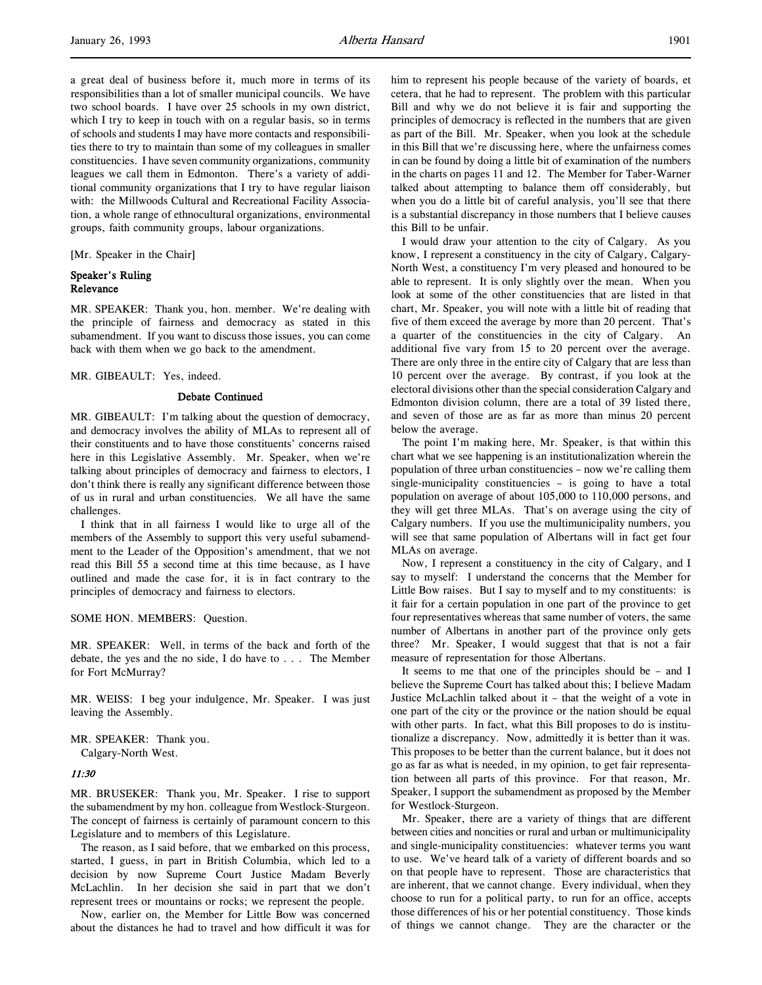a great deal of business before it, much more in terms of its responsibilities than a lot of smaller municipal councils. We have two school boards. I have over 25 schools in my own district, which I try to keep in touch with on a regular basis, so in terms of schools and students I may have more contacts and responsibilities there to try to maintain than some of my colleagues in smaller constituencies. I have seven community organizations, community leagues we call them in Edmonton. There's a variety of additional community organizations that I try to have regular liaison with: the Millwoods Cultural and Recreational Facility Association, a whole range of ethnocultural organizations, environmental groups, faith community groups, labour organizations.

[Mr. Speaker in the Chair]

## Speaker's Ruling Relevance

MR. SPEAKER: Thank you, hon. member. We're dealing with the principle of fairness and democracy as stated in this subamendment. If you want to discuss those issues, you can come back with them when we go back to the amendment.

MR. GIBEAULT: Yes, indeed.

### Debate Continued

MR. GIBEAULT: I'm talking about the question of democracy, and democracy involves the ability of MLAs to represent all of their constituents and to have those constituents' concerns raised here in this Legislative Assembly. Mr. Speaker, when we're talking about principles of democracy and fairness to electors, I don't think there is really any significant difference between those of us in rural and urban constituencies. We all have the same challenges.

I think that in all fairness I would like to urge all of the members of the Assembly to support this very useful subamendment to the Leader of the Opposition's amendment, that we not read this Bill 55 a second time at this time because, as I have outlined and made the case for, it is in fact contrary to the principles of democracy and fairness to electors.

SOME HON. MEMBERS: Question.

MR. SPEAKER: Well, in terms of the back and forth of the debate, the yes and the no side, I do have to . . . The Member for Fort McMurray?

MR. WEISS: I beg your indulgence, Mr. Speaker. I was just leaving the Assembly.

MR. SPEAKER: Thank you. Calgary-North West.

#### 11:30

MR. BRUSEKER: Thank you, Mr. Speaker. I rise to support the subamendment by my hon. colleague from Westlock-Sturgeon. The concept of fairness is certainly of paramount concern to this Legislature and to members of this Legislature.

The reason, as I said before, that we embarked on this process, started, I guess, in part in British Columbia, which led to a decision by now Supreme Court Justice Madam Beverly McLachlin. In her decision she said in part that we don't represent trees or mountains or rocks; we represent the people.

Now, earlier on, the Member for Little Bow was concerned about the distances he had to travel and how difficult it was for him to represent his people because of the variety of boards, et cetera, that he had to represent. The problem with this particular Bill and why we do not believe it is fair and supporting the principles of democracy is reflected in the numbers that are given as part of the Bill. Mr. Speaker, when you look at the schedule in this Bill that we're discussing here, where the unfairness comes in can be found by doing a little bit of examination of the numbers in the charts on pages 11 and 12. The Member for Taber-Warner talked about attempting to balance them off considerably, but when you do a little bit of careful analysis, you'll see that there is a substantial discrepancy in those numbers that I believe causes this Bill to be unfair.

I would draw your attention to the city of Calgary. As you know, I represent a constituency in the city of Calgary, Calgary-North West, a constituency I'm very pleased and honoured to be able to represent. It is only slightly over the mean. When you look at some of the other constituencies that are listed in that chart, Mr. Speaker, you will note with a little bit of reading that five of them exceed the average by more than 20 percent. That's a quarter of the constituencies in the city of Calgary. An additional five vary from 15 to 20 percent over the average. There are only three in the entire city of Calgary that are less than 10 percent over the average. By contrast, if you look at the electoral divisions other than the special consideration Calgary and Edmonton division column, there are a total of 39 listed there, and seven of those are as far as more than minus 20 percent below the average.

The point I'm making here, Mr. Speaker, is that within this chart what we see happening is an institutionalization wherein the population of three urban constituencies – now we're calling them single-municipality constituencies – is going to have a total population on average of about 105,000 to 110,000 persons, and they will get three MLAs. That's on average using the city of Calgary numbers. If you use the multimunicipality numbers, you will see that same population of Albertans will in fact get four MLAs on average.

Now, I represent a constituency in the city of Calgary, and I say to myself: I understand the concerns that the Member for Little Bow raises. But I say to myself and to my constituents: is it fair for a certain population in one part of the province to get four representatives whereas that same number of voters, the same number of Albertans in another part of the province only gets three? Mr. Speaker, I would suggest that that is not a fair measure of representation for those Albertans.

It seems to me that one of the principles should be – and I believe the Supreme Court has talked about this; I believe Madam Justice McLachlin talked about it – that the weight of a vote in one part of the city or the province or the nation should be equal with other parts. In fact, what this Bill proposes to do is institutionalize a discrepancy. Now, admittedly it is better than it was. This proposes to be better than the current balance, but it does not go as far as what is needed, in my opinion, to get fair representation between all parts of this province. For that reason, Mr. Speaker, I support the subamendment as proposed by the Member for Westlock-Sturgeon.

Mr. Speaker, there are a variety of things that are different between cities and noncities or rural and urban or multimunicipality and single-municipality constituencies: whatever terms you want to use. We've heard talk of a variety of different boards and so on that people have to represent. Those are characteristics that are inherent, that we cannot change. Every individual, when they choose to run for a political party, to run for an office, accepts those differences of his or her potential constituency. Those kinds of things we cannot change. They are the character or the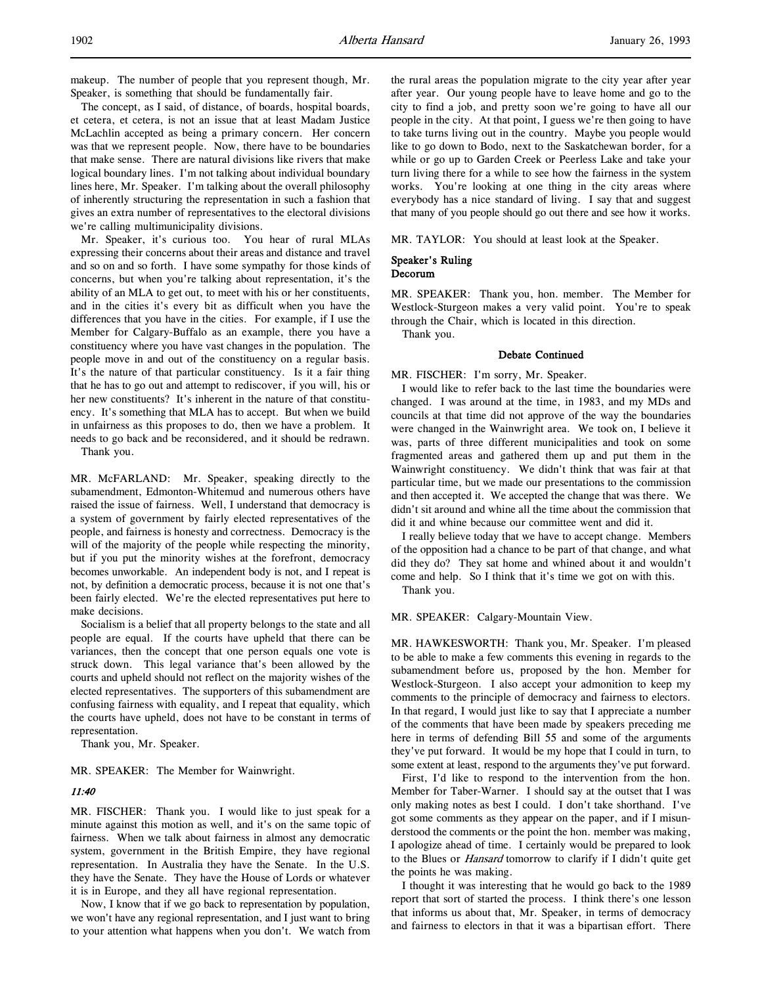makeup. The number of people that you represent though, Mr. Speaker, is something that should be fundamentally fair.

The concept, as I said, of distance, of boards, hospital boards, et cetera, et cetera, is not an issue that at least Madam Justice McLachlin accepted as being a primary concern. Her concern was that we represent people. Now, there have to be boundaries that make sense. There are natural divisions like rivers that make logical boundary lines. I'm not talking about individual boundary lines here, Mr. Speaker. I'm talking about the overall philosophy of inherently structuring the representation in such a fashion that gives an extra number of representatives to the electoral divisions we're calling multimunicipality divisions.

Mr. Speaker, it's curious too. You hear of rural MLAs expressing their concerns about their areas and distance and travel and so on and so forth. I have some sympathy for those kinds of concerns, but when you're talking about representation, it's the ability of an MLA to get out, to meet with his or her constituents, and in the cities it's every bit as difficult when you have the differences that you have in the cities. For example, if I use the Member for Calgary-Buffalo as an example, there you have a constituency where you have vast changes in the population. The people move in and out of the constituency on a regular basis. It's the nature of that particular constituency. Is it a fair thing that he has to go out and attempt to rediscover, if you will, his or her new constituents? It's inherent in the nature of that constituency. It's something that MLA has to accept. But when we build in unfairness as this proposes to do, then we have a problem. It needs to go back and be reconsidered, and it should be redrawn.

Thank you.

MR. McFARLAND: Mr. Speaker, speaking directly to the subamendment, Edmonton-Whitemud and numerous others have raised the issue of fairness. Well, I understand that democracy is a system of government by fairly elected representatives of the people, and fairness is honesty and correctness. Democracy is the will of the majority of the people while respecting the minority, but if you put the minority wishes at the forefront, democracy becomes unworkable. An independent body is not, and I repeat is not, by definition a democratic process, because it is not one that's been fairly elected. We're the elected representatives put here to make decisions.

Socialism is a belief that all property belongs to the state and all people are equal. If the courts have upheld that there can be variances, then the concept that one person equals one vote is struck down. This legal variance that's been allowed by the courts and upheld should not reflect on the majority wishes of the elected representatives. The supporters of this subamendment are confusing fairness with equality, and I repeat that equality, which the courts have upheld, does not have to be constant in terms of representation.

Thank you, Mr. Speaker.

MR. SPEAKER: The Member for Wainwright.

### 11:40

MR. FISCHER: Thank you. I would like to just speak for a minute against this motion as well, and it's on the same topic of fairness. When we talk about fairness in almost any democratic system, government in the British Empire, they have regional representation. In Australia they have the Senate. In the U.S. they have the Senate. They have the House of Lords or whatever it is in Europe, and they all have regional representation.

Now, I know that if we go back to representation by population, we won't have any regional representation, and I just want to bring to your attention what happens when you don't. We watch from the rural areas the population migrate to the city year after year after year. Our young people have to leave home and go to the city to find a job, and pretty soon we're going to have all our people in the city. At that point, I guess we're then going to have to take turns living out in the country. Maybe you people would like to go down to Bodo, next to the Saskatchewan border, for a while or go up to Garden Creek or Peerless Lake and take your turn living there for a while to see how the fairness in the system works. You're looking at one thing in the city areas where everybody has a nice standard of living. I say that and suggest that many of you people should go out there and see how it works.

MR. TAYLOR: You should at least look at the Speaker.

#### Speaker's Ruling Decorum

MR. SPEAKER: Thank you, hon. member. The Member for Westlock-Sturgeon makes a very valid point. You're to speak through the Chair, which is located in this direction.

Thank you.

#### Debate Continued

MR. FISCHER: I'm sorry, Mr. Speaker.

I would like to refer back to the last time the boundaries were changed. I was around at the time, in 1983, and my MDs and councils at that time did not approve of the way the boundaries were changed in the Wainwright area. We took on, I believe it was, parts of three different municipalities and took on some fragmented areas and gathered them up and put them in the Wainwright constituency. We didn't think that was fair at that particular time, but we made our presentations to the commission and then accepted it. We accepted the change that was there. We didn't sit around and whine all the time about the commission that did it and whine because our committee went and did it.

I really believe today that we have to accept change. Members of the opposition had a chance to be part of that change, and what did they do? They sat home and whined about it and wouldn't come and help. So I think that it's time we got on with this.

Thank you.

MR. SPEAKER: Calgary-Mountain View.

MR. HAWKESWORTH: Thank you, Mr. Speaker. I'm pleased to be able to make a few comments this evening in regards to the subamendment before us, proposed by the hon. Member for Westlock-Sturgeon. I also accept your admonition to keep my comments to the principle of democracy and fairness to electors. In that regard, I would just like to say that I appreciate a number of the comments that have been made by speakers preceding me here in terms of defending Bill 55 and some of the arguments they've put forward. It would be my hope that I could in turn, to some extent at least, respond to the arguments they've put forward.

First, I'd like to respond to the intervention from the hon. Member for Taber-Warner. I should say at the outset that I was only making notes as best I could. I don't take shorthand. I've got some comments as they appear on the paper, and if I misunderstood the comments or the point the hon. member was making, I apologize ahead of time. I certainly would be prepared to look to the Blues or Hansard tomorrow to clarify if I didn't quite get the points he was making.

I thought it was interesting that he would go back to the 1989 report that sort of started the process. I think there's one lesson that informs us about that, Mr. Speaker, in terms of democracy and fairness to electors in that it was a bipartisan effort. There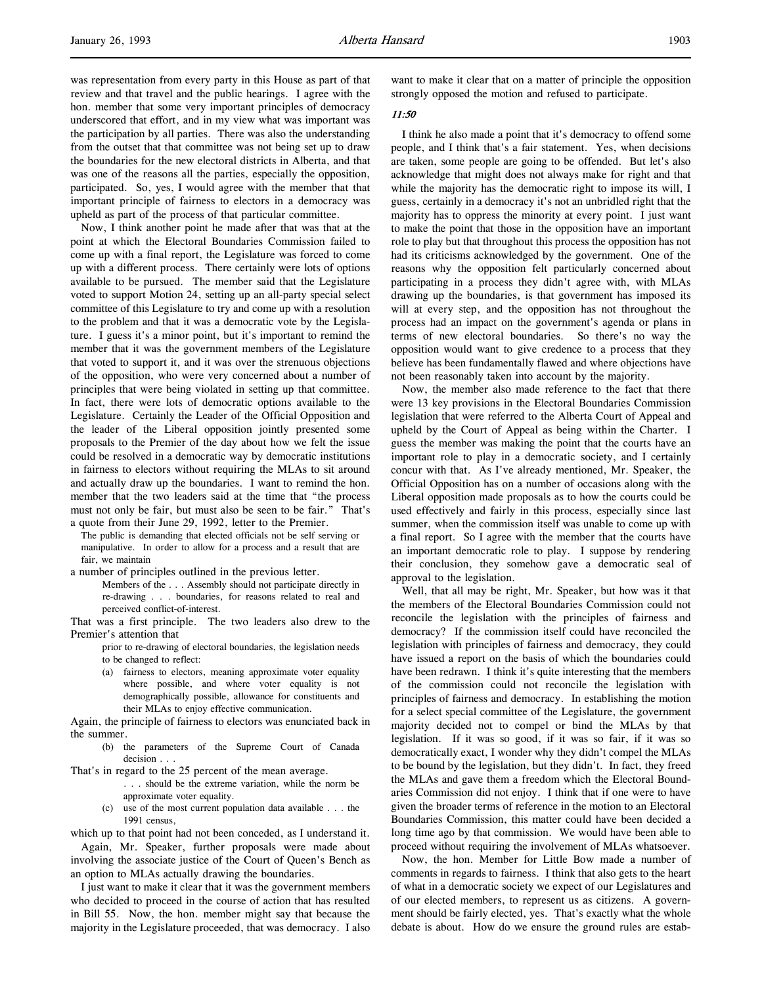was representation from every party in this House as part of that review and that travel and the public hearings. I agree with the hon. member that some very important principles of democracy underscored that effort, and in my view what was important was the participation by all parties. There was also the understanding from the outset that that committee was not being set up to draw the boundaries for the new electoral districts in Alberta, and that was one of the reasons all the parties, especially the opposition, participated. So, yes, I would agree with the member that that important principle of fairness to electors in a democracy was upheld as part of the process of that particular committee.

Now, I think another point he made after that was that at the point at which the Electoral Boundaries Commission failed to come up with a final report, the Legislature was forced to come up with a different process. There certainly were lots of options available to be pursued. The member said that the Legislature voted to support Motion 24, setting up an all-party special select committee of this Legislature to try and come up with a resolution to the problem and that it was a democratic vote by the Legislature. I guess it's a minor point, but it's important to remind the member that it was the government members of the Legislature that voted to support it, and it was over the strenuous objections of the opposition, who were very concerned about a number of principles that were being violated in setting up that committee. In fact, there were lots of democratic options available to the Legislature. Certainly the Leader of the Official Opposition and the leader of the Liberal opposition jointly presented some proposals to the Premier of the day about how we felt the issue could be resolved in a democratic way by democratic institutions in fairness to electors without requiring the MLAs to sit around and actually draw up the boundaries. I want to remind the hon. member that the two leaders said at the time that "the process must not only be fair, but must also be seen to be fair." That's a quote from their June 29, 1992, letter to the Premier.

The public is demanding that elected officials not be self serving or manipulative. In order to allow for a process and a result that are fair, we maintain

a number of principles outlined in the previous letter.

Members of the . . . Assembly should not participate directly in re-drawing . . . boundaries, for reasons related to real and perceived conflict-of-interest.

That was a first principle. The two leaders also drew to the Premier's attention that

prior to re-drawing of electoral boundaries, the legislation needs to be changed to reflect:

(a) fairness to electors, meaning approximate voter equality where possible, and where voter equality is not demographically possible, allowance for constituents and their MLAs to enjoy effective communication.

Again, the principle of fairness to electors was enunciated back in the summer.

(b) the parameters of the Supreme Court of Canada decision . . .

That's in regard to the 25 percent of the mean average.

- . . . should be the extreme variation, while the norm be approximate voter equality.
- (c) use of the most current population data available . . . the 1991 census,

which up to that point had not been conceded, as I understand it.

Again, Mr. Speaker, further proposals were made about involving the associate justice of the Court of Queen's Bench as an option to MLAs actually drawing the boundaries.

I just want to make it clear that it was the government members who decided to proceed in the course of action that has resulted in Bill 55. Now, the hon. member might say that because the majority in the Legislature proceeded, that was democracy. I also

want to make it clear that on a matter of principle the opposition strongly opposed the motion and refused to participate.

## 11:50

I think he also made a point that it's democracy to offend some people, and I think that's a fair statement. Yes, when decisions are taken, some people are going to be offended. But let's also acknowledge that might does not always make for right and that while the majority has the democratic right to impose its will, I guess, certainly in a democracy it's not an unbridled right that the majority has to oppress the minority at every point. I just want to make the point that those in the opposition have an important role to play but that throughout this process the opposition has not had its criticisms acknowledged by the government. One of the reasons why the opposition felt particularly concerned about participating in a process they didn't agree with, with MLAs drawing up the boundaries, is that government has imposed its will at every step, and the opposition has not throughout the process had an impact on the government's agenda or plans in terms of new electoral boundaries. So there's no way the opposition would want to give credence to a process that they believe has been fundamentally flawed and where objections have not been reasonably taken into account by the majority.

Now, the member also made reference to the fact that there were 13 key provisions in the Electoral Boundaries Commission legislation that were referred to the Alberta Court of Appeal and upheld by the Court of Appeal as being within the Charter. I guess the member was making the point that the courts have an important role to play in a democratic society, and I certainly concur with that. As I've already mentioned, Mr. Speaker, the Official Opposition has on a number of occasions along with the Liberal opposition made proposals as to how the courts could be used effectively and fairly in this process, especially since last summer, when the commission itself was unable to come up with a final report. So I agree with the member that the courts have an important democratic role to play. I suppose by rendering their conclusion, they somehow gave a democratic seal of approval to the legislation.

Well, that all may be right, Mr. Speaker, but how was it that the members of the Electoral Boundaries Commission could not reconcile the legislation with the principles of fairness and democracy? If the commission itself could have reconciled the legislation with principles of fairness and democracy, they could have issued a report on the basis of which the boundaries could have been redrawn. I think it's quite interesting that the members of the commission could not reconcile the legislation with principles of fairness and democracy. In establishing the motion for a select special committee of the Legislature, the government majority decided not to compel or bind the MLAs by that legislation. If it was so good, if it was so fair, if it was so democratically exact, I wonder why they didn't compel the MLAs to be bound by the legislation, but they didn't. In fact, they freed the MLAs and gave them a freedom which the Electoral Boundaries Commission did not enjoy. I think that if one were to have given the broader terms of reference in the motion to an Electoral Boundaries Commission, this matter could have been decided a long time ago by that commission. We would have been able to proceed without requiring the involvement of MLAs whatsoever.

Now, the hon. Member for Little Bow made a number of comments in regards to fairness. I think that also gets to the heart of what in a democratic society we expect of our Legislatures and of our elected members, to represent us as citizens. A government should be fairly elected, yes. That's exactly what the whole debate is about. How do we ensure the ground rules are estab-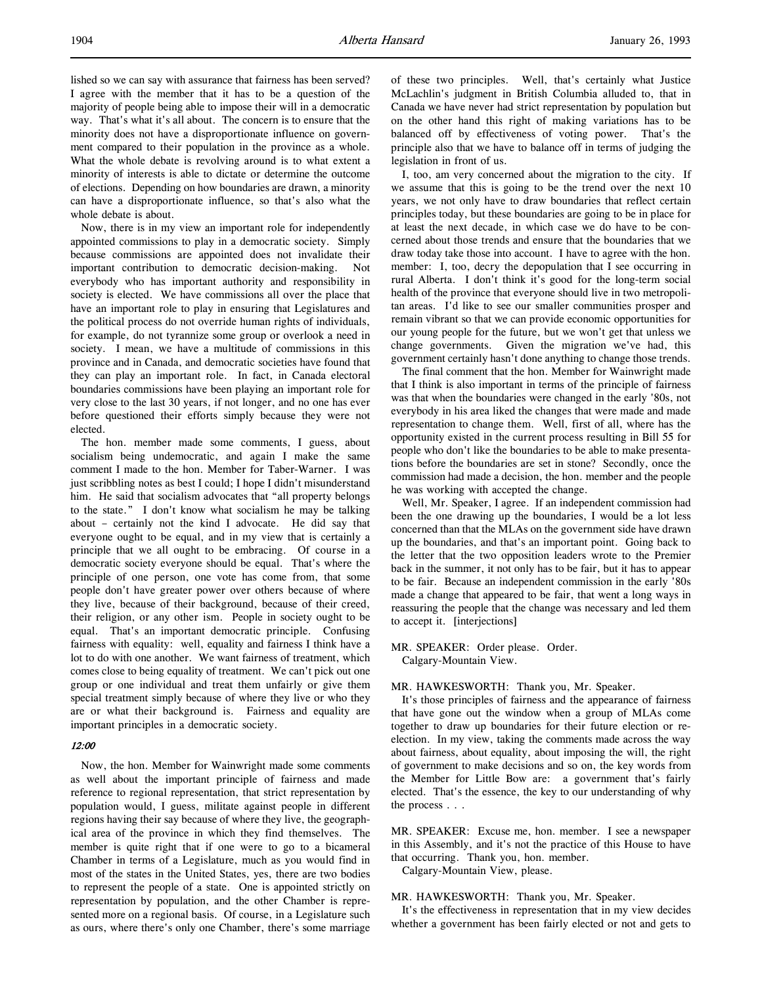lished so we can say with assurance that fairness has been served? I agree with the member that it has to be a question of the majority of people being able to impose their will in a democratic way. That's what it's all about. The concern is to ensure that the minority does not have a disproportionate influence on government compared to their population in the province as a whole. What the whole debate is revolving around is to what extent a minority of interests is able to dictate or determine the outcome of elections. Depending on how boundaries are drawn, a minority can have a disproportionate influence, so that's also what the whole debate is about.

Now, there is in my view an important role for independently appointed commissions to play in a democratic society. Simply because commissions are appointed does not invalidate their important contribution to democratic decision-making. Not everybody who has important authority and responsibility in society is elected. We have commissions all over the place that have an important role to play in ensuring that Legislatures and the political process do not override human rights of individuals, for example, do not tyrannize some group or overlook a need in society. I mean, we have a multitude of commissions in this province and in Canada, and democratic societies have found that they can play an important role. In fact, in Canada electoral boundaries commissions have been playing an important role for very close to the last 30 years, if not longer, and no one has ever before questioned their efforts simply because they were not elected.

The hon. member made some comments, I guess, about socialism being undemocratic, and again I make the same comment I made to the hon. Member for Taber-Warner. I was just scribbling notes as best I could; I hope I didn't misunderstand him. He said that socialism advocates that "all property belongs to the state." I don't know what socialism he may be talking about – certainly not the kind I advocate. He did say that everyone ought to be equal, and in my view that is certainly a principle that we all ought to be embracing. Of course in a democratic society everyone should be equal. That's where the principle of one person, one vote has come from, that some people don't have greater power over others because of where they live, because of their background, because of their creed, their religion, or any other ism. People in society ought to be equal. That's an important democratic principle. Confusing fairness with equality: well, equality and fairness I think have a lot to do with one another. We want fairness of treatment, which comes close to being equality of treatment. We can't pick out one group or one individual and treat them unfairly or give them special treatment simply because of where they live or who they are or what their background is. Fairness and equality are important principles in a democratic society.

## 12:00

Now, the hon. Member for Wainwright made some comments as well about the important principle of fairness and made reference to regional representation, that strict representation by population would, I guess, militate against people in different regions having their say because of where they live, the geographical area of the province in which they find themselves. The member is quite right that if one were to go to a bicameral Chamber in terms of a Legislature, much as you would find in most of the states in the United States, yes, there are two bodies to represent the people of a state. One is appointed strictly on representation by population, and the other Chamber is represented more on a regional basis. Of course, in a Legislature such as ours, where there's only one Chamber, there's some marriage of these two principles. Well, that's certainly what Justice McLachlin's judgment in British Columbia alluded to, that in Canada we have never had strict representation by population but on the other hand this right of making variations has to be balanced off by effectiveness of voting power. That's the principle also that we have to balance off in terms of judging the legislation in front of us.

I, too, am very concerned about the migration to the city. If we assume that this is going to be the trend over the next 10 years, we not only have to draw boundaries that reflect certain principles today, but these boundaries are going to be in place for at least the next decade, in which case we do have to be concerned about those trends and ensure that the boundaries that we draw today take those into account. I have to agree with the hon. member: I, too, decry the depopulation that I see occurring in rural Alberta. I don't think it's good for the long-term social health of the province that everyone should live in two metropolitan areas. I'd like to see our smaller communities prosper and remain vibrant so that we can provide economic opportunities for our young people for the future, but we won't get that unless we change governments. Given the migration we've had, this government certainly hasn't done anything to change those trends.

The final comment that the hon. Member for Wainwright made that I think is also important in terms of the principle of fairness was that when the boundaries were changed in the early '80s, not everybody in his area liked the changes that were made and made representation to change them. Well, first of all, where has the opportunity existed in the current process resulting in Bill 55 for people who don't like the boundaries to be able to make presentations before the boundaries are set in stone? Secondly, once the commission had made a decision, the hon. member and the people he was working with accepted the change.

Well, Mr. Speaker, I agree. If an independent commission had been the one drawing up the boundaries, I would be a lot less concerned than that the MLAs on the government side have drawn up the boundaries, and that's an important point. Going back to the letter that the two opposition leaders wrote to the Premier back in the summer, it not only has to be fair, but it has to appear to be fair. Because an independent commission in the early '80s made a change that appeared to be fair, that went a long ways in reassuring the people that the change was necessary and led them to accept it. [interjections]

MR. SPEAKER: Order please. Order. Calgary-Mountain View.

## MR. HAWKESWORTH: Thank you, Mr. Speaker.

It's those principles of fairness and the appearance of fairness that have gone out the window when a group of MLAs come together to draw up boundaries for their future election or reelection. In my view, taking the comments made across the way about fairness, about equality, about imposing the will, the right of government to make decisions and so on, the key words from the Member for Little Bow are: a government that's fairly elected. That's the essence, the key to our understanding of why the process . . .

MR. SPEAKER: Excuse me, hon. member. I see a newspaper in this Assembly, and it's not the practice of this House to have that occurring. Thank you, hon. member.

Calgary-Mountain View, please.

### MR. HAWKESWORTH: Thank you, Mr. Speaker.

It's the effectiveness in representation that in my view decides whether a government has been fairly elected or not and gets to